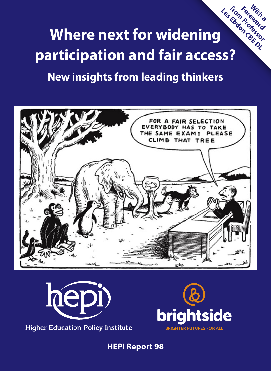**Where next for widening participation and fair access? With a from Professor Foreword Les Ebdon CBE DL**

# **New insights from leading thinkers**





**Higher Education Policy Institute** 



**HEPI Report 98**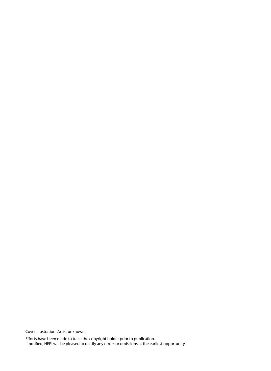Cover illustration: Artist unknown.

Efforts have been made to trace the copyright holder prior to publication. If notified, HEPI will be pleased to rectify any errors or omissions at the earliest opportunity.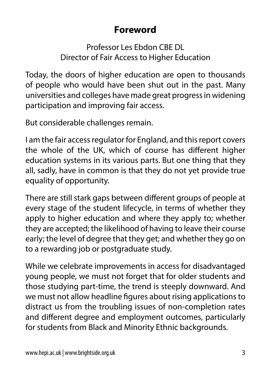### **Foreword**

Professor Les Ebdon CBE DL Director of Fair Access to Higher Education

Today, the doors of higher education are open to thousands of people who would have been shut out in the past. Many universities and colleges have made great progress in widening participation and improving fair access.

But considerable challenges remain.

I am the fair access regulator for England, and this report covers the whole of the UK, which of course has different higher education systems in its various parts. But one thing that they all, sadly, have in common is that they do not yet provide true equality of opportunity.

There are still stark gaps between different groups of people at every stage of the student lifecycle, in terms of whether they apply to higher education and where they apply to; whether they are accepted; the likelihood of having to leave their course early; the level of degree that they get; and whether they go on to a rewarding job or postgraduate study.

While we celebrate improvements in access for disadvantaged young people, we must not forget that for older students and those studying part-time, the trend is steeply downward. And we must not allow headline figures about rising applications to distract us from the troubling issues of non-completion rates and different degree and employment outcomes, particularly for students from Black and Minority Ethnic backgrounds.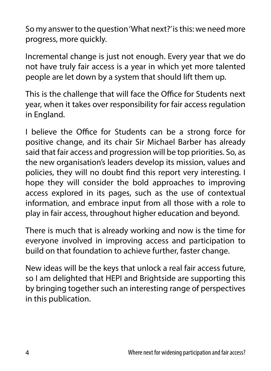So my answer to the question 'What next?' is this: we need more progress, more quickly.

Incremental change is just not enough. Every year that we do not have truly fair access is a year in which yet more talented people are let down by a system that should lift them up.

This is the challenge that will face the Office for Students next year, when it takes over responsibility for fair access regulation in England.

I believe the Office for Students can be a strong force for positive change, and its chair Sir Michael Barber has already said that fair access and progression will be top priorities. So, as the new organisation's leaders develop its mission, values and policies, they will no doubt find this report very interesting. I hope they will consider the bold approaches to improving access explored in its pages, such as the use of contextual information, and embrace input from all those with a role to play in fair access, throughout higher education and beyond.

There is much that is already working and now is the time for everyone involved in improving access and participation to build on that foundation to achieve further, faster change.

New ideas will be the keys that unlock a real fair access future, so I am delighted that HEPI and Brightside are supporting this by bringing together such an interesting range of perspectives in this publication.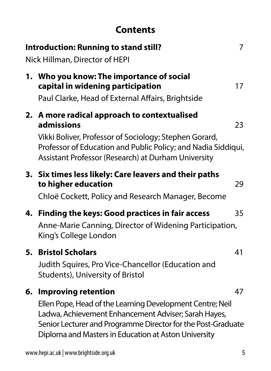### **Contents**

|    | <b>Introduction: Running to stand still?</b><br>Nick Hillman, Director of HEPI                                                                                                                                                                                          | 7  |
|----|-------------------------------------------------------------------------------------------------------------------------------------------------------------------------------------------------------------------------------------------------------------------------|----|
|    | 1. Who you know: The importance of social<br>capital in widening participation<br>Paul Clarke, Head of External Affairs, Brightside                                                                                                                                     | 17 |
| 2. | A more radical approach to contextualised<br>admissions<br>Vikki Boliver, Professor of Sociology; Stephen Gorard,<br>Professor of Education and Public Policy; and Nadia Siddiqui,<br>Assistant Professor (Research) at Durham University                               | 23 |
|    | 3. Six times less likely: Care leavers and their paths<br>to higher education<br>Chloë Cockett, Policy and Research Manager, Become                                                                                                                                     | 29 |
| 4. | Finding the keys: Good practices in fair access<br>Anne-Marie Canning, Director of Widening Participation,<br>King's College London                                                                                                                                     | 35 |
| 5. | <b>Bristol Scholars</b><br>Judith Squires, Pro Vice-Chancellor (Education and<br>Students), University of Bristol                                                                                                                                                       | 41 |
| 6. | <b>Improving retention</b><br>Ellen Pope, Head of the Learning Development Centre; Neil<br>Ladwa, Achievement Enhancement Adviser; Sarah Hayes,<br>Senior Lecturer and Programme Director for the Post-Graduate<br>Diploma and Masters in Education at Aston University | 47 |
|    | www.hepi.ac.uk   www.brightside.org.uk                                                                                                                                                                                                                                  | 5  |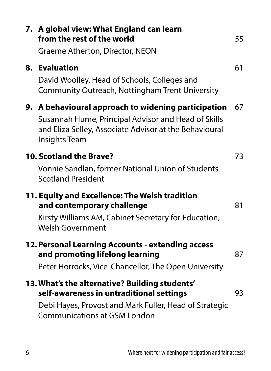|    | 7. A global view: What England can learn<br>from the rest of the world<br>Graeme Atherton, Director, NEON                                                                                   | 55 |
|----|---------------------------------------------------------------------------------------------------------------------------------------------------------------------------------------------|----|
| 8. | <b>Evaluation</b><br>David Woolley, Head of Schools, Colleges and<br>Community Outreach, Nottingham Trent University                                                                        | 61 |
|    | 9. A behavioural approach to widening participation<br>Susannah Hume, Principal Advisor and Head of Skills<br>and Eliza Selley, Associate Advisor at the Behavioural<br>Insights Team       | 67 |
|    | 10. Scotland the Brave?<br>Vonnie Sandlan, former National Union of Students<br><b>Scotland President</b>                                                                                   | 73 |
|    | 11. Equity and Excellence: The Welsh tradition<br>and contemporary challenge<br>Kirsty Williams AM, Cabinet Secretary for Education,<br><b>Welsh Government</b>                             | 81 |
|    | 12. Personal Learning Accounts - extending access<br>and promoting lifelong learning<br>Peter Horrocks, Vice-Chancellor, The Open University                                                | 87 |
|    | 13. What's the alternative? Building students'<br>self-awareness in untraditional settings<br>Debi Hayes, Provost and Mark Fuller, Head of Strategic<br><b>Communications at GSM London</b> | 93 |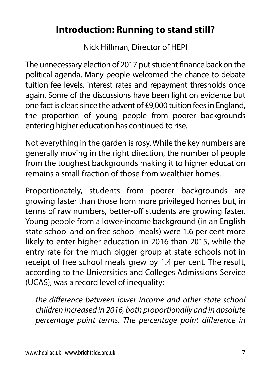### **Introduction: Running to stand still?**

Nick Hillman, Director of HEPI

The unnecessary election of 2017 put student finance back on the political agenda. Many people welcomed the chance to debate tuition fee levels, interest rates and repayment thresholds once again. Some of the discussions have been light on evidence but one fact is clear: since the advent of £9,000 tuition fees in England, the proportion of young people from poorer backgrounds entering higher education has continued to rise.

Not everything in the garden is rosy. While the key numbers are generally moving in the right direction, the number of people from the toughest backgrounds making it to higher education remains a small fraction of those from wealthier homes.

Proportionately, students from poorer backgrounds are growing faster than those from more privileged homes but, in terms of raw numbers, better-off students are growing faster. Young people from a lower-income background (in an English state school and on free school meals) were 1.6 per cent more likely to enter higher education in 2016 than 2015, while the entry rate for the much bigger group at state schools not in receipt of free school meals grew by 1.4 per cent. The result, according to the Universities and Colleges Admissions Service (UCAS), was a record level of inequality:

*the difference between lower income and other state school children increased in 2016, both proportionally and in absolute percentage point terms. The percentage point difference in*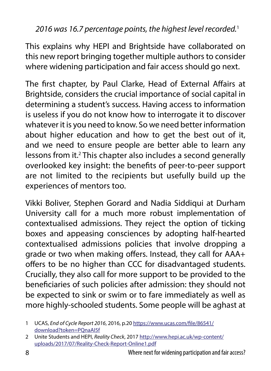#### *2016 was 16.7 percentage points, the highest level recorded.*<sup>1</sup>

This explains why HEPI and Brightside have collaborated on this new report bringing together multiple authors to consider where widening participation and fair access should go next.

The first chapter, by Paul Clarke, Head of External Affairs at Brightside, considers the crucial importance of social capital in determining a student's success. Having access to information is useless if you do not know how to interrogate it to discover whatever it is you need to know. So we need better information about higher education and how to get the best out of it, and we need to ensure people are better able to learn any lessons from it.<sup>2</sup> This chapter also includes a second generally overlooked key insight: the benefits of peer-to-peer support are not limited to the recipients but usefully build up the experiences of mentors too.

Vikki Boliver, Stephen Gorard and Nadia Siddiqui at Durham University call for a much more robust implementation of contextualised admissions. They reject the option of ticking boxes and appeasing consciences by adopting half-hearted contextualised admissions policies that involve dropping a grade or two when making offers. Instead, they call for AAA+ offers to be no higher than CCC for disadvantaged students. Crucially, they also call for more support to be provided to the beneficiaries of such policies after admission: they should not be expected to sink or swim or to fare immediately as well as more highly-schooled students. Some people will be aghast at

<sup>1</sup> UCAS, *End of Cycle Report 2016*, 2016, p.20 [https://www.ucas.com/file/86541/](https://www.ucas.com/file/86541/download?token=PQnaAI5f) [download?token=PQnaAI5f](https://www.ucas.com/file/86541/download?token=PQnaAI5f)

<sup>2</sup> Unite Students and HEPI, *Reality Check*, 2017 [http://www.hepi.ac.uk/wp-content/](http://www.hepi.ac.uk/wp-content/uploads/2017/07/Reality-Check-Report-Online1.pdf) [uploads/2017/07/Reality-Check-Report-Online1.pdf](http://www.hepi.ac.uk/wp-content/uploads/2017/07/Reality-Check-Report-Online1.pdf)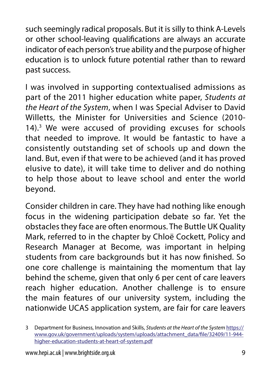such seemingly radical proposals. But it is silly to think A-Levels or other school-leaving qualifications are always an accurate indicator of each person's true ability and the purpose of higher education is to unlock future potential rather than to reward past success.

I was involved in supporting contextualised admissions as part of the 2011 higher education white paper, *Students at the Heart of the System*, when I was Special Adviser to David Willetts, the Minister for Universities and Science (2010- 14).3 We were accused of providing excuses for schools that needed to improve. It would be fantastic to have a consistently outstanding set of schools up and down the land. But, even if that were to be achieved (and it has proved elusive to date), it will take time to deliver and do nothing to help those about to leave school and enter the world beyond.

Consider children in care. They have had nothing like enough focus in the widening participation debate so far. Yet the obstacles they face are often enormous. The Buttle UK Quality Mark, referred to in the chapter by Chloë Cockett, Policy and Research Manager at Become, was important in helping students from care backgrounds but it has now finished. So one core challenge is maintaining the momentum that lay behind the scheme, given that only 6 per cent of care leavers reach higher education. Another challenge is to ensure the main features of our university system, including the nationwide UCAS application system, are fair for care leavers

<sup>3</sup> Department for Business, Innovation and Skills, *Students at the Heart of the System* [https://](https://www.gov.uk/government/uploads/system/uploads/attachment_data/file/32409/11-944-higher-education-students-at-heart-of-system.pdf) [www.gov.uk/government/uploads/system/uploads/attachment\\_data/file/32409/11-944](https://www.gov.uk/government/uploads/system/uploads/attachment_data/file/32409/11-944-higher-education-students-at-heart-of-system.pdf) [higher-education-students-at-heart-of-system.pdf](https://www.gov.uk/government/uploads/system/uploads/attachment_data/file/32409/11-944-higher-education-students-at-heart-of-system.pdf)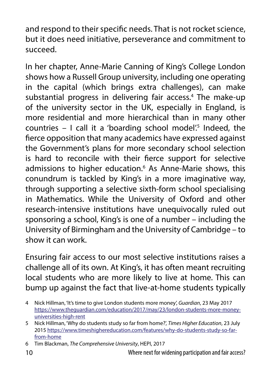and respond to their specific needs. That is not rocket science, but it does need initiative, perseverance and commitment to succeed.

In her chapter, Anne-Marie Canning of King's College London shows how a Russell Group university, including one operating in the capital (which brings extra challenges), can make substantial progress in delivering fair access.<sup>4</sup> The make-up of the university sector in the UK, especially in England, is more residential and more hierarchical than in many other  $countries - I call it a 'boarding school model.'s Indeed, the$ fierce opposition that many academics have expressed against the Government's plans for more secondary school selection is hard to reconcile with their fierce support for selective admissions to higher education.<sup>6</sup> As Anne-Marie shows, this conundrum is tackled by King's in a more imaginative way, through supporting a selective sixth-form school specialising in Mathematics. While the University of Oxford and other research-intensive institutions have unequivocally ruled out sponsoring a school, King's is one of a number – including the University of Birmingham and the University of Cambridge – to show it can work.

Ensuring fair access to our most selective institutions raises a challenge all of its own. At King's, it has often meant recruiting local students who are more likely to live at home. This can bump up against the fact that live-at-home students typically

<sup>4</sup> Nick Hillman, 'It's time to give London students more money', *Guardian*, 23 May 2017 [https://www.theguardian.com/education/2017/may/23/london-students-more-money](https://www.theguardian.com/education/2017/may/23/london-students-more-money-universities-high-rent)[universities-high-rent](https://www.theguardian.com/education/2017/may/23/london-students-more-money-universities-high-rent)

<sup>5</sup> Nick Hillman, 'Why do students study so far from home?', *Times Higher Education*, 23 July 2015 [https://www.timeshighereducation.com/features/why-do-students-study-so-far](https://www.timeshighereducation.com/features/why-do-students-study-so-far-from-home)[from-home](https://www.timeshighereducation.com/features/why-do-students-study-so-far-from-home)

<sup>6</sup> Tim Blackman, *The Comprehensive University*, HEPI, 2017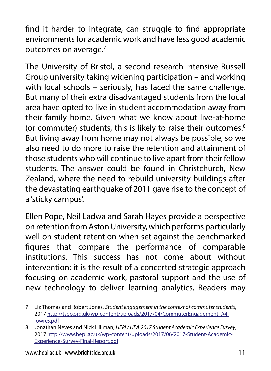find it harder to integrate, can struggle to find appropriate environments for academic work and have less good academic outcomes on average.<sup>7</sup>

The University of Bristol, a second research-intensive Russell Group university taking widening participation – and working with local schools – seriously, has faced the same challenge. But many of their extra disadvantaged students from the local area have opted to live in student accommodation away from their family home. Given what we know about live-at-home (or commuter) students, this is likely to raise their outcomes.<sup>8</sup> But living away from home may not always be possible, so we also need to do more to raise the retention and attainment of those students who will continue to live apart from their fellow students. The answer could be found in Christchurch, New Zealand, where the need to rebuild university buildings after the devastating earthquake of 2011 gave rise to the concept of a 'sticky campus'.

Ellen Pope, Neil Ladwa and Sarah Hayes provide a perspective on retention from Aston University, which performs particularly well on student retention when set against the benchmarked figures that compare the performance of comparable institutions. This success has not come about without intervention; it is the result of a concerted strategic approach focusing on academic work, pastoral support and the use of new technology to deliver learning analytics. Readers may

<sup>7</sup> Liz Thomas and Robert Jones, *Student engagement in the context of commuter students*, 2017 [http://tsep.org.uk/wp-content/uploads/2017/04/CommuterEngagement\\_A4](http://tsep.org.uk/wp-content/uploads/2017/04/CommuterEngagement_A4-lowres.pdf) [lowres.pdf](http://tsep.org.uk/wp-content/uploads/2017/04/CommuterEngagement_A4-lowres.pdf)

<sup>8</sup> Jonathan Neves and Nick Hillman, *HEPI / HEA 2017 Student Academic Experience Survey*, 2017 [http://www.hepi.ac.uk/wp-content/uploads/2017/06/2017-Student-Academic-](http://www.hepi.ac.uk/wp-content/uploads/2017/06/2017-Student-Academic-Experience-Survey-Final-Report.pdf)[Experience-Survey-Final-Report.pdf](http://www.hepi.ac.uk/wp-content/uploads/2017/06/2017-Student-Academic-Experience-Survey-Final-Report.pdf)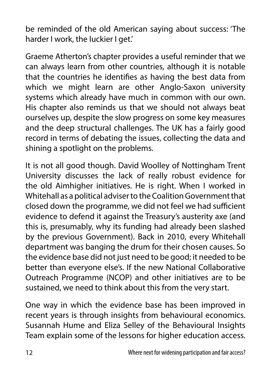be reminded of the old American saying about success: 'The harder I work, the luckier I get.'

Graeme Atherton's chapter provides a useful reminder that we can always learn from other countries, although it is notable that the countries he identifies as having the best data from which we might learn are other Anglo-Saxon university systems which already have much in common with our own. His chapter also reminds us that we should not always beat ourselves up, despite the slow progress on some key measures and the deep structural challenges. The UK has a fairly good record in terms of debating the issues, collecting the data and shining a spotlight on the problems.

It is not all good though. David Woolley of Nottingham Trent University discusses the lack of really robust evidence for the old Aimhigher initiatives. He is right. When I worked in Whitehall as a political adviser to the Coalition Government that closed down the programme, we did not feel we had sufficient evidence to defend it against the Treasury's austerity axe (and this is, presumably, why its funding had already been slashed by the previous Government). Back in 2010, every Whitehall department was banging the drum for their chosen causes. So the evidence base did not just need to be good; it needed to be better than everyone else's. If the new National Collaborative Outreach Programme (NCOP) and other initiatives are to be sustained, we need to think about this from the very start.

One way in which the evidence base has been improved in recent years is through insights from behavioural economics. Susannah Hume and Eliza Selley of the Behavioural Insights Team explain some of the lessons for higher education access.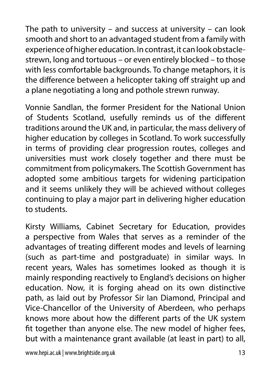The path to university – and success at university – can look smooth and short to an advantaged student from a family with experience of higher education. In contrast, it can look obstaclestrewn, long and tortuous – or even entirely blocked – to those with less comfortable backgrounds. To change metaphors, it is the difference between a helicopter taking off straight up and a plane negotiating a long and pothole strewn runway.

Vonnie Sandlan, the former President for the National Union of Students Scotland, usefully reminds us of the different traditions around the UK and, in particular, the mass delivery of higher education by colleges in Scotland. To work successfully in terms of providing clear progression routes, colleges and universities must work closely together and there must be commitment from policymakers. The Scottish Government has adopted some ambitious targets for widening participation and it seems unlikely they will be achieved without colleges continuing to play a major part in delivering higher education to students.

Kirsty Williams, Cabinet Secretary for Education, provides a perspective from Wales that serves as a reminder of the advantages of treating different modes and levels of learning (such as part-time and postgraduate) in similar ways. In recent years, Wales has sometimes looked as though it is mainly responding reactively to England's decisions on higher education. Now, it is forging ahead on its own distinctive path, as laid out by Professor Sir Ian Diamond, Principal and Vice-Chancellor of the University of Aberdeen, who perhaps knows more about how the different parts of the UK system fit together than anyone else. The new model of higher fees, but with a maintenance grant available (at least in part) to all,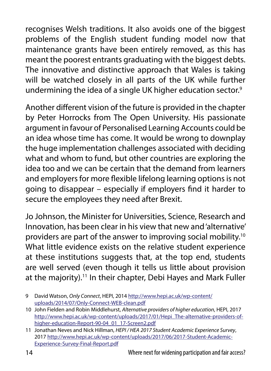recognises Welsh traditions. It also avoids one of the biggest problems of the English student funding model now that maintenance grants have been entirely removed, as this has meant the poorest entrants graduating with the biggest debts. The innovative and distinctive approach that Wales is taking will be watched closely in all parts of the UK while further undermining the idea of a single UK higher education sector.<sup>9</sup>

Another different vision of the future is provided in the chapter by Peter Horrocks from The Open University. His passionate argument in favour of Personalised Learning Accounts could be an idea whose time has come. It would be wrong to downplay the huge implementation challenges associated with deciding what and whom to fund, but other countries are exploring the idea too and we can be certain that the demand from learners and employers for more flexible lifelong learning options is not going to disappear – especially if employers find it harder to secure the employees they need after Brexit.

Jo Johnson, the Minister for Universities, Science, Research and Innovation, has been clear in his view that new and 'alternative' providers are part of the answer to improving social mobility.10 What little evidence exists on the relative student experience at these institutions suggests that, at the top end, students are well served (even though it tells us little about provision at the majority).<sup>11</sup> In their chapter, Debi Hayes and Mark Fuller

<sup>9</sup> David Watson, *Only Connect*, HEPI, 2014 [http://www.hepi.ac.uk/wp-content/](http://www.hepi.ac.uk/wp-content/uploads/2014/07/Only-Connect-WEB-clean.pdf) [uploads/2014/07/Only-Connect-WEB-clean.pdf](http://www.hepi.ac.uk/wp-content/uploads/2014/07/Only-Connect-WEB-clean.pdf)

<sup>10</sup> John Fielden and Robin Middlehurst, *Alternative providers of higher education*, HEPI, 2017 [http://www.hepi.ac.uk/wp-content/uploads/2017/01/Hepi\\_The-alternative-providers-of](http://www.hepi.ac.uk/wp-content/uploads/2017/01/Hepi_The-alternative-providers-of-higher-education-Report-90-04_01_17-Screen2.pdf)[higher-education-Report-90-04\\_01\\_17-Screen2.pdf](http://www.hepi.ac.uk/wp-content/uploads/2017/01/Hepi_The-alternative-providers-of-higher-education-Report-90-04_01_17-Screen2.pdf)

<sup>11</sup> Jonathan Neves and Nick Hillman, *HEPI / HEA 2017 Student Academic Experience Survey*, 2017 [http://www.hepi.ac.uk/wp-content/uploads/2017/06/2017-Student-Academic-](http://www.hepi.ac.uk/wp-content/uploads/2017/06/2017-Student-Academic-Experience-Survey-Final-Report.pdf)[Experience-Survey-Final-Report.pdf](http://www.hepi.ac.uk/wp-content/uploads/2017/06/2017-Student-Academic-Experience-Survey-Final-Report.pdf)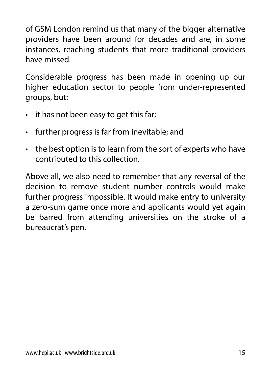of GSM London remind us that many of the bigger alternative providers have been around for decades and are, in some instances, reaching students that more traditional providers have missed.

Considerable progress has been made in opening up our higher education sector to people from under-represented groups, but:

- it has not been easy to get this far;
- further progress is far from inevitable; and
- the best option is to learn from the sort of experts who have contributed to this collection.

Above all, we also need to remember that any reversal of the decision to remove student number controls would make further progress impossible. It would make entry to university a zero-sum game once more and applicants would yet again be barred from attending universities on the stroke of a bureaucrat's pen.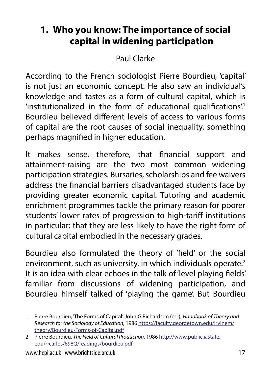# **1. Who you know: The importance of social capital in widening participation**

Paul Clarke

According to the French sociologist Pierre Bourdieu, 'capital' is not just an economic concept. He also saw an individual's knowledge and tastes as a form of cultural capital, which is 'institutionalized in the form of educational qualifications.<sup>1</sup> Bourdieu believed different levels of access to various forms of capital are the root causes of social inequality, something perhaps magnified in higher education.

It makes sense, therefore, that financial support and attainment-raising are the two most common widening participation strategies. Bursaries, scholarships and fee waivers address the financial barriers disadvantaged students face by providing greater economic capital. Tutoring and academic enrichment programmes tackle the primary reason for poorer students' lower rates of progression to high-tariff institutions in particular: that they are less likely to have the right form of cultural capital embodied in the necessary grades.

Bourdieu also formulated the theory of 'field' or the social environment, such as university, in which individuals operate.<sup>2</sup> It is an idea with clear echoes in the talk of 'level playing fields' familiar from discussions of widening participation, and Bourdieu himself talked of 'playing the game'. But Bourdieu

<sup>1</sup> Pierre Bourdieu, 'The Forms of Capital', John G Richardson (ed.), *Handbook of Theory and Research for the Sociology of Education*, 1986 [https://faculty.georgetown.edu/irvinem/](https://faculty.georgetown.edu/irvinem/theory/Bourdieu-Forms-of-Capital.pdf) [theory/Bourdieu-Forms-of-Capital.pdf](https://faculty.georgetown.edu/irvinem/theory/Bourdieu-Forms-of-Capital.pdf)

<sup>2</sup> Pierre Bourdieu, *The Field of Cultural Production*, 1986 [http://www.public.iastate.](http://www.public.iastate.edu/~carlos/698Q/readings/bourdieu.pdf) [edu/~carlos/698Q/readings/bourdieu.pdf](http://www.public.iastate.edu/~carlos/698Q/readings/bourdieu.pdf)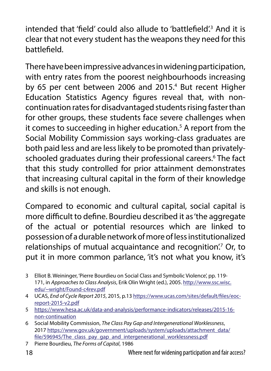intended that 'field' could also allude to 'battlefield'.3 And it is clear that not every student has the weapons they need for this battlefield.

There have been impressive advances in widening participation, with entry rates from the poorest neighbourhoods increasing by 65 per cent between 2006 and 2015.<sup>4</sup> But recent Higher Education Statistics Agency figures reveal that, with noncontinuation rates for disadvantaged students rising faster than for other groups, these students face severe challenges when it comes to succeeding in higher education.5 A report from the Social Mobility Commission says working-class graduates are both paid less and are less likely to be promoted than privatelyschooled graduates during their professional careers.<sup>6</sup> The fact that this study controlled for prior attainment demonstrates that increasing cultural capital in the form of their knowledge and skills is not enough.

Compared to economic and cultural capital, social capital is more difficult to define. Bourdieu described it as 'the aggregate of the actual or potential resources which are linked to possession of a durable network of more of less institutionalized relationships of mutual acquaintance and recognition.<sup>7</sup> Or, to put it in more common parlance, 'it's not what you know, it's

- 3 Elliot B. Weininger, 'Pierre Bourdieu on Social Class and Symbolic Violence', pp. 119- 171, in *Approaches to Class Analysis*, Erik Olin Wright (ed.), 2005. [http://www.ssc.wisc.](http://www.ssc.wisc.edu/~wright/Found-c4rev.pdf) [edu/~wright/Found-c4rev.pdf](http://www.ssc.wisc.edu/~wright/Found-c4rev.pdf)
- 4 UCAS, *End of Cycle Report 2015*, 2015, p.13 [https://www.ucas.com/sites/default/files/eoc](https://www.ucas.com/sites/default/files/eoc-report-2015-v2.pdf)[report-2015-v2.pdf](https://www.ucas.com/sites/default/files/eoc-report-2015-v2.pdf)
- 5 [https://www.hesa.ac.uk/data-and-analysis/performance-indicators/releases/2015-16](https://www.hesa.ac.uk/data-and-analysis/performance-indicators/releases/2015-16-non-continuation) [non-continuation](https://www.hesa.ac.uk/data-and-analysis/performance-indicators/releases/2015-16-non-continuation)
- 6 Social Mobility Commission, *The Class Pay Gap and Intergenerational Worklessness*, 2017 [https://www.gov.uk/government/uploads/system/uploads/attachment\\_data/](https://www.gov.uk/government/uploads/system/uploads/attachment_data/file/596945/The_class_pay_gap_and_intergenerational_worklessness.pdf) [file/596945/The\\_class\\_pay\\_gap\\_and\\_intergenerational\\_worklessness.pdf](https://www.gov.uk/government/uploads/system/uploads/attachment_data/file/596945/The_class_pay_gap_and_intergenerational_worklessness.pdf)
- 7 Pierre Bourdieu, *The Forms of Capital*, 1986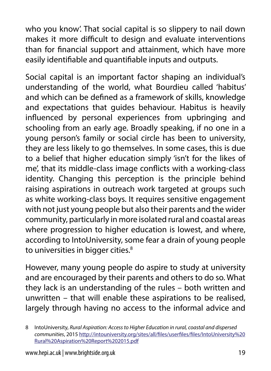who you know'. That social capital is so slippery to nail down makes it more difficult to design and evaluate interventions than for financial support and attainment, which have more easily identifiable and quantifiable inputs and outputs.

Social capital is an important factor shaping an individual's understanding of the world, what Bourdieu called 'habitus' and which can be defined as a framework of skills, knowledge and expectations that guides behaviour. Habitus is heavily influenced by personal experiences from upbringing and schooling from an early age. Broadly speaking, if no one in a young person's family or social circle has been to university, they are less likely to go themselves. In some cases, this is due to a belief that higher education simply 'isn't for the likes of me', that its middle-class image conflicts with a working-class identity. Changing this perception is the principle behind raising aspirations in outreach work targeted at groups such as white working-class boys. It requires sensitive engagement with not just young people but also their parents and the wider community, particularly in more isolated rural and coastal areas where progression to higher education is lowest, and where, according to IntoUniversity, some fear a drain of young people to universities in bigger cities.<sup>8</sup>

However, many young people do aspire to study at university and are encouraged by their parents and others to do so. What they lack is an understanding of the rules – both written and unwritten – that will enable these aspirations to be realised, largely through having no access to the informal advice and

<sup>8</sup> IntoUniversity, *Rural Aspiration: Access to Higher Education in rural, coastal and dispersed communities*, 2015 [http://intouniversity.org/sites/all/files/userfiles/files/IntoUniversity%20](http://intouniversity.org/sites/all/files/userfiles/files/IntoUniversity%20Rural%20Aspiration%20Report%202015.pdf) [Rural%20Aspiration%20Report%202015.pdf](http://intouniversity.org/sites/all/files/userfiles/files/IntoUniversity%20Rural%20Aspiration%20Report%202015.pdf)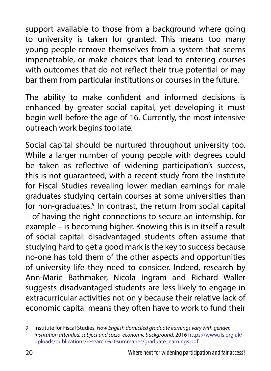support available to those from a background where going to university is taken for granted. This means too many young people remove themselves from a system that seems impenetrable, or make choices that lead to entering courses with outcomes that do not reflect their true potential or may bar them from particular institutions or courses in the future.

The ability to make confident and informed decisions is enhanced by greater social capital, yet developing it must begin well before the age of 16. Currently, the most intensive outreach work begins too late.

Social capital should be nurtured throughout university too. While a larger number of young people with degrees could be taken as reflective of widening participation's success, this is not guaranteed, with a recent study from the Institute for Fiscal Studies revealing lower median earnings for male graduates studying certain courses at some universities than for non-graduates.<sup>9</sup> In contrast, the return from social capital – of having the right connections to secure an internship, for example – is becoming higher. Knowing this is in itself a result of social capital: disadvantaged students often assume that studying hard to get a good mark is the key to success because no-one has told them of the other aspects and opportunities of university life they need to consider. Indeed, research by Ann-Marie Bathmaker, Nicola Ingram and Richard Waller suggests disadvantaged students are less likely to engage in extracurricular activities not only because their relative lack of economic capital means they often have to work to fund their

<sup>9</sup> Institute for Fiscal Studies, *How English domiciled graduate earnings vary with gender, institution attended, subject and socio-economic background*, 2016 [https://www.ifs.org.uk/](https://www.ifs.org.uk/uploads/publications/research%20summaries/graduate_earnings.pdf) [uploads/publications/research%20summaries/graduate\\_earnings.pdf](https://www.ifs.org.uk/uploads/publications/research%20summaries/graduate_earnings.pdf)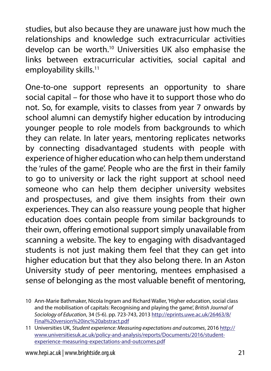studies, but also because they are unaware just how much the relationships and knowledge such extracurricular activities develop can be worth.10 Universities UK also emphasise the links between extracurricular activities, social capital and employability skills.<sup>11</sup>

One-to-one support represents an opportunity to share social capital – for those who have it to support those who do not. So, for example, visits to classes from year 7 onwards by school alumni can demystify higher education by introducing younger people to role models from backgrounds to which they can relate. In later years, mentoring replicates networks by connecting disadvantaged students with people with experience of higher education who can help them understand the 'rules of the game'. People who are the first in their family to go to university or lack the right support at school need someone who can help them decipher university websites and prospectuses, and give them insights from their own experiences. They can also reassure young people that higher education does contain people from similar backgrounds to their own, offering emotional support simply unavailable from scanning a website. The key to engaging with disadvantaged students is not just making them feel that they can get into higher education but that they also belong there. In an Aston University study of peer mentoring, mentees emphasised a sense of belonging as the most valuable benefit of mentoring,

<sup>10</sup> Ann-Marie Bathmaker, Nicola Ingram and Richard Waller, 'Higher education, social class and the mobilisation of capitals: Recognising and playing the game', *British Journal of Sociology of Education*, 34 (5-6). pp. 723-743, 2013 [http://eprints.uwe.ac.uk/26463/8/](http://eprints.uwe.ac.uk/26463/8/Final%20version%20inc%20abstract.pdf) [Final%20version%20inc%20abstract.pdf](http://eprints.uwe.ac.uk/26463/8/Final%20version%20inc%20abstract.pdf)

<sup>11</sup> Universities UK, *Student experience: Measuring expectations and outcomes*, 2016 [http://](http://www.universitiesuk.ac.uk/policy-and-analysis/reports/Documents/2016/student-experience-measuring-expectations-and-outcomes.pdf) [www.universitiesuk.ac.uk/policy-and-analysis/reports/Documents/2016/student](http://www.universitiesuk.ac.uk/policy-and-analysis/reports/Documents/2016/student-experience-measuring-expectations-and-outcomes.pdf)[experience-measuring-expectations-and-outcomes.pdf](http://www.universitiesuk.ac.uk/policy-and-analysis/reports/Documents/2016/student-experience-measuring-expectations-and-outcomes.pdf)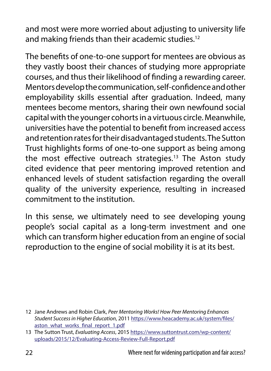and most were more worried about adjusting to university life and making friends than their academic studies.<sup>12</sup>

The benefits of one-to-one support for mentees are obvious as they vastly boost their chances of studying more appropriate courses, and thus their likelihood of finding a rewarding career. Mentors develop the communication, self-confidence and other employability skills essential after graduation. Indeed, many mentees become mentors, sharing their own newfound social capital with the younger cohorts in a virtuous circle. Meanwhile, universities have the potential to benefit from increased access and retention rates for their disadvantaged students. The Sutton Trust highlights forms of one-to-one support as being among the most effective outreach strategies.<sup>13</sup> The Aston study cited evidence that peer mentoring improved retention and enhanced levels of student satisfaction regarding the overall quality of the university experience, resulting in increased commitment to the institution.

In this sense, we ultimately need to see developing young people's social capital as a long-term investment and one which can transform higher education from an engine of social reproduction to the engine of social mobility it is at its best.

<sup>12</sup> Jane Andrews and Robin Clark, *Peer Mentoring Works! How Peer Mentoring Enhances Student Success in Higher Education*, 2011 [https://www.heacademy.ac.uk/system/files/](https://www.heacademy.ac.uk/system/files/aston_what_works_final_report_1.pdf) [aston\\_what\\_works\\_final\\_report\\_1.pdf](https://www.heacademy.ac.uk/system/files/aston_what_works_final_report_1.pdf)

<sup>13</sup> The Sutton Trust, *Evaluating Access*, 2015 [https://www.suttontrust.com/wp-content/](https://www.suttontrust.com/wp-content/uploads/2015/12/Evaluating-Access-Review-Full-Report.pdf) [uploads/2015/12/Evaluating-Access-Review-Full-Report.pdf](https://www.suttontrust.com/wp-content/uploads/2015/12/Evaluating-Access-Review-Full-Report.pdf)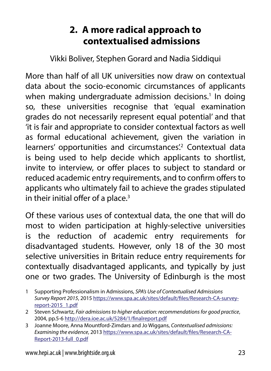### **2. A more radical approach to contextualised admissions**

Vikki Boliver, Stephen Gorard and Nadia Siddiqui

More than half of all UK universities now draw on contextual data about the socio-economic circumstances of applicants when making undergraduate admission decisions.<sup>1</sup> In doing so, these universities recognise that 'equal examination grades do not necessarily represent equal potential' and that 'it is fair and appropriate to consider contextual factors as well as formal educational achievement, given the variation in learners' opportunities and circumstances<sup>'2</sup> Contextual data is being used to help decide which applicants to shortlist, invite to interview, or offer places to subject to standard or reduced academic entry requirements, and to confirm offers to applicants who ultimately fail to achieve the grades stipulated in their initial offer of a place.<sup>3</sup>

Of these various uses of contextual data, the one that will do most to widen participation at highly-selective universities is the reduction of academic entry requirements for disadvantaged students. However, only 18 of the 30 most selective universities in Britain reduce entry requirements for contextually disadvantaged applicants, and typically by just one or two grades. The University of Edinburgh is the most

- 1 Supporting Professionalism in Admissions, *SPA's Use of Contextualised Admissions Survey Report 2015*, 2015 [https://www.spa.ac.uk/sites/default/files/Research-CA-survey](https://www.spa.ac.uk/sites/default/files/Research-CA-survey-report-2015_1.pdf)[report-2015\\_1.pdf](https://www.spa.ac.uk/sites/default/files/Research-CA-survey-report-2015_1.pdf)
- 2 Steven Schwartz, *Fair admissions to higher education: recommendations for good practice*, 2004, pp.5-6<http://dera.ioe.ac.uk/5284/1/finalreport.pdf>
- 3 Joanne Moore, Anna Mountford-Zimdars and Jo Wiggans, *Contextualised admissions: Examining the evidence*, 2013 [https://www.spa.ac.uk/sites/default/files/Research-CA-](https://www.spa.ac.uk/sites/default/files/Research-CA-Report-2013-full_0.pdf)[Report-2013-full\\_0.pdf](https://www.spa.ac.uk/sites/default/files/Research-CA-Report-2013-full_0.pdf)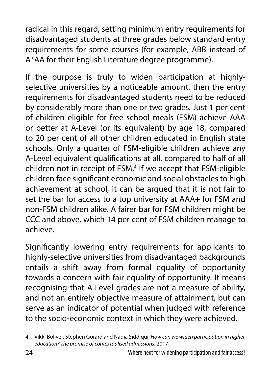radical in this regard, setting minimum entry requirements for disadvantaged students at three grades below standard entry requirements for some courses (for example, ABB instead of A\*AA for their English Literature degree programme).

If the purpose is truly to widen participation at highlyselective universities by a noticeable amount, then the entry requirements for disadvantaged students need to be reduced by considerably more than one or two grades. Just 1 per cent of children eligible for free school meals (FSM) achieve AAA or better at A-Level (or its equivalent) by age 18, compared to 20 per cent of all other children educated in English state schools. Only a quarter of FSM-eligible children achieve any A-Level equivalent qualifications at all, compared to half of all children not in receipt of FSM.<sup>4</sup> If we accept that FSM-eligible children face significant economic and social obstacles to high achievement at school, it can be argued that it is not fair to set the bar for access to a top university at AAA+ for FSM and non-FSM children alike. A fairer bar for FSM children might be CCC and above, which 14 per cent of FSM children manage to achieve.

Significantly lowering entry requirements for applicants to highly-selective universities from disadvantaged backgrounds entails a shift away from formal equality of opportunity towards a concern with fair equality of opportunity. It means recognising that A-Level grades are not a measure of ability, and not an entirely objective measure of attainment, but can serve as an indicator of potential when judged with reference to the socio-economic context in which they were achieved.

<sup>4</sup> Vikki Boliver, Stephen Gorard and Nadia Siddiqui, *How can we widen participation in higher education? The promise of contextualised admissions*, 2017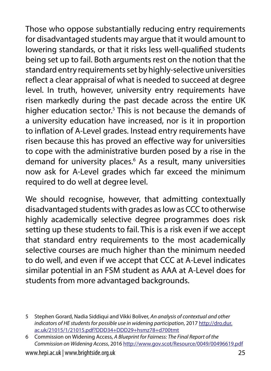Those who oppose substantially reducing entry requirements for disadvantaged students may argue that it would amount to lowering standards, or that it risks less well-qualified students being set up to fail. Both arguments rest on the notion that the standard entry requirements set by highly-selective universities reflect a clear appraisal of what is needed to succeed at degree level. In truth, however, university entry requirements have risen markedly during the past decade across the entire UK higher education sector.<sup>5</sup> This is not because the demands of a university education have increased, nor is it in proportion to inflation of A-Level grades. Instead entry requirements have risen because this has proved an effective way for universities to cope with the administrative burden posed by a rise in the demand for university places.<sup>6</sup> As a result, many universities now ask for A-Level grades which far exceed the minimum required to do well at degree level.

We should recognise, however, that admitting contextually disadvantaged students with grades as low as CCC to otherwise highly academically selective degree programmes does risk setting up these students to fail. This is a risk even if we accept that standard entry requirements to the most academically selective courses are much higher than the minimum needed to do well, and even if we accept that CCC at A-Level indicates similar potential in an FSM student as AAA at A-Level does for students from more advantaged backgrounds.

<sup>5</sup> Stephen Gorard, Nadia Siddiqui and Vikki Boliver, *An analysis of contextual and other indicators of HE students for possible use in widening participation*, 2017 [http://dro.dur.](http://dro.dur.ac.uk/21015/1/21015.pdf?DDD34+DDD29+hsmz78+d700tmt) [ac.uk/21015/1/21015.pdf?DDD34+DDD29+hsmz78+d700tmt](http://dro.dur.ac.uk/21015/1/21015.pdf?DDD34+DDD29+hsmz78+d700tmt)

<sup>6</sup> Commission on Widening Access, *A Blueprint for Fairness: The Final Report of the Commission on Widening Access*, 2016<http://www.gov.scot/Resource/0049/00496619.pdf>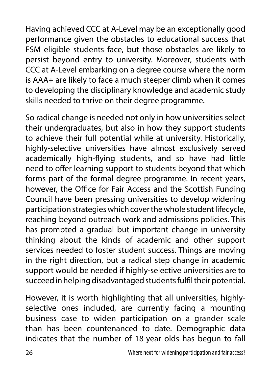Having achieved CCC at A-Level may be an exceptionally good performance given the obstacles to educational success that FSM eligible students face, but those obstacles are likely to persist beyond entry to university. Moreover, students with CCC at A-Level embarking on a degree course where the norm is AAA+ are likely to face a much steeper climb when it comes to developing the disciplinary knowledge and academic study skills needed to thrive on their degree programme.

So radical change is needed not only in how universities select their undergraduates, but also in how they support students to achieve their full potential while at university. Historically, highly-selective universities have almost exclusively served academically high-flying students, and so have had little need to offer learning support to students beyond that which forms part of the formal degree programme. In recent years, however, the Office for Fair Access and the Scottish Funding Council have been pressing universities to develop widening participation strategies which cover the whole student lifecycle, reaching beyond outreach work and admissions policies. This has prompted a gradual but important change in university thinking about the kinds of academic and other support services needed to foster student success. Things are moving in the right direction, but a radical step change in academic support would be needed if highly-selective universities are to succeed in helping disadvantaged students fulfil their potential.

However, it is worth highlighting that all universities, highlyselective ones included, are currently facing a mounting business case to widen participation on a grander scale than has been countenanced to date. Demographic data indicates that the number of 18-year olds has begun to fall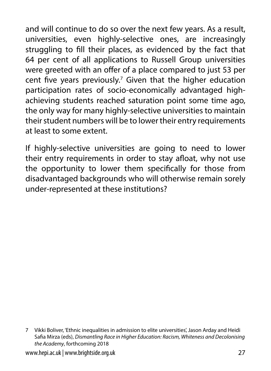and will continue to do so over the next few years. As a result, universities, even highly-selective ones, are increasingly struggling to fill their places, as evidenced by the fact that 64 per cent of all applications to Russell Group universities were greeted with an offer of a place compared to just 53 per cent five years previously. $7$  Given that the higher education participation rates of socio-economically advantaged highachieving students reached saturation point some time ago, the only way for many highly-selective universities to maintain their student numbers will be to lower their entry requirements at least to some extent.

If highly-selective universities are going to need to lower their entry requirements in order to stay afloat, why not use the opportunity to lower them specifically for those from disadvantaged backgrounds who will otherwise remain sorely under-represented at these institutions?

<sup>7</sup> Vikki Boliver, 'Ethnic inequalities in admission to elite universities', Jason Arday and Heidi Safia Mirza (eds), *Dismantling Race in Higher Education: Racism, Whiteness and Decolonising the Academy*, forthcoming 2018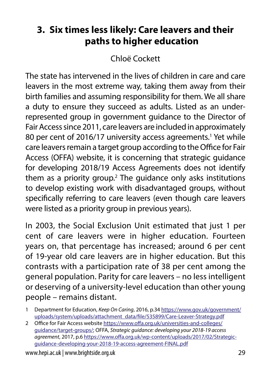# **3. Six times less likely: Care leavers and their paths to higher education**

Chloë Cockett

The state has intervened in the lives of children in care and care leavers in the most extreme way, taking them away from their birth families and assuming responsibility for them. We all share a duty to ensure they succeed as adults. Listed as an underrepresented group in government guidance to the Director of Fair Access since 2011, care leavers are included in approximately 80 per cent of 2016/17 university access agreements.<sup>1</sup> Yet while care leavers remain a target group according to the Office for Fair Access (OFFA) website, it is concerning that strategic guidance for developing 2018/19 Access Agreements does not identify them as a priority group.<sup>2</sup> The guidance only asks institutions to develop existing work with disadvantaged groups, without specifically referring to care leavers (even though care leavers were listed as a priority group in previous years).

In 2003, the Social Exclusion Unit estimated that just 1 per cent of care leavers were in higher education. Fourteen years on, that percentage has increased; around 6 per cent of 19-year old care leavers are in higher education. But this contrasts with a participation rate of 38 per cent among the general population. Parity for care leavers – no less intelligent or deserving of a university-level education than other young people – remains distant.

<sup>1</sup> Department for Education, *Keep On Caring*, 2016, p.34 [https://www.gov.uk/government/](https://www.gov.uk/government/uploads/system/uploads/attachment_data/file/535899/Care-Leaver-Strategy.pdf) uploads/system/uploads/attachment\_data/file/535899/Care-Leaver-Strategy.pdf

<sup>2</sup> Office for Fair Access website [https://www.offa.org.uk/universities-and-colleges/](https://www.offa.org.uk/universities-and-colleges/guidance/target-groups/) [guidance/target-groups/;](https://www.offa.org.uk/universities-and-colleges/guidance/target-groups/) OFFA, *Strategic guidance: developing your 2018-19 access agreement*, 2017, p.6 [https://www.offa.org.uk/wp-content/uploads/2017/02/Strategic](https://www.offa.org.uk/wp-content/uploads/2017/02/Strategic-guidance-developing-your-2018-19-access-agreement-FINAL.pdf)[guidance-developing-your-2018-19-access-agreement-FINAL.pdf](https://www.offa.org.uk/wp-content/uploads/2017/02/Strategic-guidance-developing-your-2018-19-access-agreement-FINAL.pdf)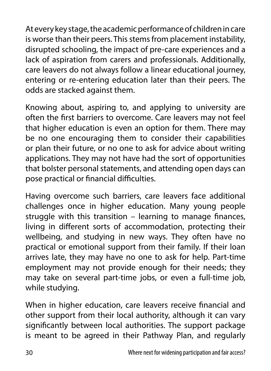At every key stage, the academic performance of children in care is worse than their peers. This stems from placement instability, disrupted schooling, the impact of pre-care experiences and a lack of aspiration from carers and professionals. Additionally, care leavers do not always follow a linear educational journey, entering or re-entering education later than their peers. The odds are stacked against them.

Knowing about, aspiring to, and applying to university are often the first barriers to overcome. Care leavers may not feel that higher education is even an option for them. There may be no one encouraging them to consider their capabilities or plan their future, or no one to ask for advice about writing applications. They may not have had the sort of opportunities that bolster personal statements, and attending open days can pose practical or financial difficulties.

Having overcome such barriers, care leavers face additional challenges once in higher education. Many young people struggle with this transition – learning to manage finances, living in different sorts of accommodation, protecting their wellbeing, and studying in new ways. They often have no practical or emotional support from their family. If their loan arrives late, they may have no one to ask for help. Part-time employment may not provide enough for their needs; they may take on several part-time jobs, or even a full-time job, while studying.

When in higher education, care leavers receive financial and other support from their local authority, although it can vary significantly between local authorities. The support package is meant to be agreed in their Pathway Plan, and regularly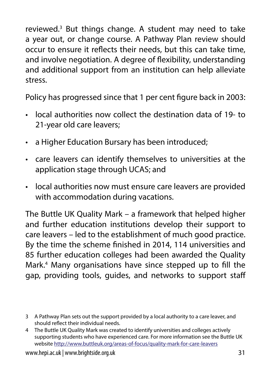reviewed.3 But things change. A student may need to take a year out, or change course. A Pathway Plan review should occur to ensure it reflects their needs, but this can take time, and involve negotiation. A degree of flexibility, understanding and additional support from an institution can help alleviate stress.

Policy has progressed since that 1 per cent figure back in 2003:

- local authorities now collect the destination data of 19- to 21-year old care leavers;
- a Higher Education Bursary has been introduced;
- care leavers can identify themselves to universities at the application stage through UCAS; and
- local authorities now must ensure care leavers are provided with accommodation during vacations.

The Buttle UK Quality Mark – a framework that helped higher and further education institutions develop their support to care leavers – led to the establishment of much good practice. By the time the scheme finished in 2014, 114 universities and 85 further education colleges had been awarded the Quality Mark.4 Many organisations have since stepped up to fill the gap, providing tools, guides, and networks to support staff

<sup>3</sup> A Pathway Plan sets out the support provided by a local authority to a care leaver, and should reflect their individual needs.

<sup>4</sup> The Buttle UK Quality Mark was created to identify universities and colleges actively supporting students who have experienced care. For more information see the Buttle UK website<http://www.buttleuk.org/areas-of-focus/quality-mark-for-care-leavers>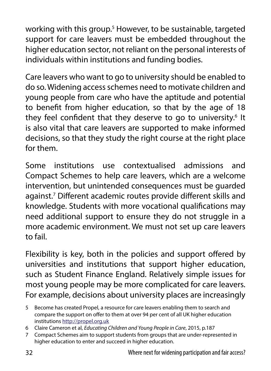working with this group.<sup>5</sup> However, to be sustainable, targeted support for care leavers must be embedded throughout the higher education sector, not reliant on the personal interests of individuals within institutions and funding bodies.

Care leavers who want to go to university should be enabled to do so. Widening access schemes need to motivate children and young people from care who have the aptitude and potential to benefit from higher education, so that by the age of 18 they feel confident that they deserve to go to university.<sup>6</sup> It is also vital that care leavers are supported to make informed decisions, so that they study the right course at the right place for them.

Some institutions use contextualised admissions and Compact Schemes to help care leavers, which are a welcome intervention, but unintended consequences must be guarded against.7 Different academic routes provide different skills and knowledge. Students with more vocational qualifications may need additional support to ensure they do not struggle in a more academic environment. We must not set up care leavers to fail.

Flexibility is key, both in the policies and support offered by universities and institutions that support higher education, such as Student Finance England. Relatively simple issues for most young people may be more complicated for care leavers. For example, decisions about university places are increasingly

<sup>5</sup> Become has created Propel, a resource for care leavers enabling them to search and compare the support on offer to them at over 94 per cent of all UK higher education institutions<http://propel.org.uk>

<sup>6</sup> Claire Cameron et al, *Educating Children and Young People in Care*, 2015, p.187

<sup>7</sup> Compact Schemes aim to support students from groups that are under-represented in higher education to enter and succeed in higher education.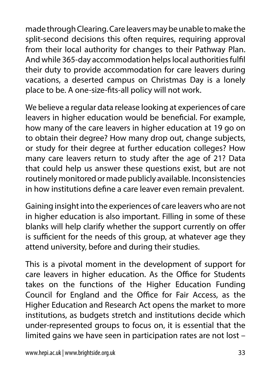made through Clearing. Care leavers may be unable to make the split-second decisions this often requires, requiring approval from their local authority for changes to their Pathway Plan. And while 365-day accommodation helps local authorities fulfil their duty to provide accommodation for care leavers during vacations, a deserted campus on Christmas Day is a lonely place to be. A one-size-fits-all policy will not work.

We believe a regular data release looking at experiences of care leavers in higher education would be beneficial. For example, how many of the care leavers in higher education at 19 go on to obtain their degree? How many drop out, change subjects, or study for their degree at further education colleges? How many care leavers return to study after the age of 21? Data that could help us answer these questions exist, but are not routinely monitored or made publicly available. Inconsistencies in how institutions define a care leaver even remain prevalent.

Gaining insight into the experiences of care leavers who are not in higher education is also important. Filling in some of these blanks will help clarify whether the support currently on offer is sufficient for the needs of this group, at whatever age they attend university, before and during their studies.

This is a pivotal moment in the development of support for care leavers in higher education. As the Office for Students takes on the functions of the Higher Education Funding Council for England and the Office for Fair Access, as the Higher Education and Research Act opens the market to more institutions, as budgets stretch and institutions decide which under-represented groups to focus on, it is essential that the limited gains we have seen in participation rates are not lost –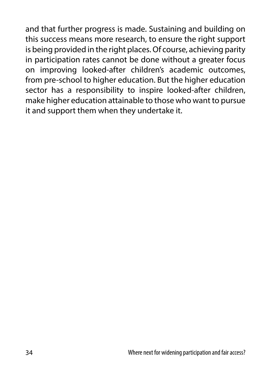and that further progress is made. Sustaining and building on this success means more research, to ensure the right support is being provided in the right places. Of course, achieving parity in participation rates cannot be done without a greater focus on improving looked-after children's academic outcomes, from pre-school to higher education. But the higher education sector has a responsibility to inspire looked-after children, make higher education attainable to those who want to pursue it and support them when they undertake it.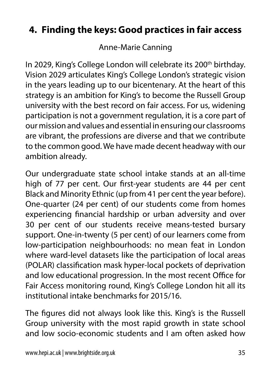### **4. Finding the keys: Good practices in fair access**

Anne-Marie Canning

In 2029, King's College London will celebrate its 200<sup>th</sup> birthday. Vision 2029 articulates King's College London's strategic vision in the years leading up to our bicentenary. At the heart of this strategy is an ambition for King's to become the Russell Group university with the best record on fair access. For us, widening participation is not a government regulation, it is a core part of our mission and values and essential in ensuring our classrooms are vibrant, the professions are diverse and that we contribute to the common good. We have made decent headway with our ambition already.

Our undergraduate state school intake stands at an all-time high of 77 per cent. Our first-year students are 44 per cent Black and Minority Ethnic (up from 41 per cent the year before). One-quarter (24 per cent) of our students come from homes experiencing financial hardship or urban adversity and over 30 per cent of our students receive means-tested bursary support. One-in-twenty (5 per cent) of our learners come from low-participation neighbourhoods: no mean feat in London where ward-level datasets like the participation of local areas (POLAR) classification mask hyper-local pockets of deprivation and low educational progression. In the most recent Office for Fair Access monitoring round, King's College London hit all its institutional intake benchmarks for 2015/16.

The figures did not always look like this. King's is the Russell Group university with the most rapid growth in state school and low socio-economic students and I am often asked how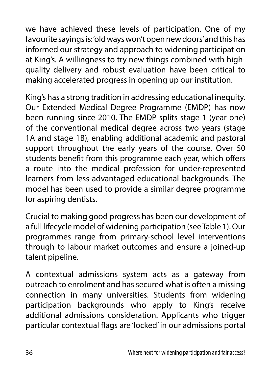we have achieved these levels of participation. One of my favourite sayings is: 'old ways won't open new doors' and this has informed our strategy and approach to widening participation at King's. A willingness to try new things combined with highquality delivery and robust evaluation have been critical to making accelerated progress in opening up our institution.

King's has a strong tradition in addressing educational inequity. Our Extended Medical Degree Programme (EMDP) has now been running since 2010. The EMDP splits stage 1 (year one) of the conventional medical degree across two years (stage 1A and stage 1B), enabling additional academic and pastoral support throughout the early years of the course. Over 50 students benefit from this programme each year, which offers a route into the medical profession for under-represented learners from less-advantaged educational backgrounds. The model has been used to provide a similar degree programme for aspiring dentists.

Crucial to making good progress has been our development of a full lifecycle model of widening participation (see Table 1). Our programmes range from primary-school level interventions through to labour market outcomes and ensure a joined-up talent pipeline.

A contextual admissions system acts as a gateway from outreach to enrolment and has secured what is often a missing connection in many universities. Students from widening participation backgrounds who apply to King's receive additional admissions consideration. Applicants who trigger particular contextual flags are 'locked' in our admissions portal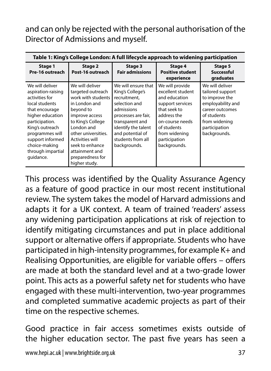and can only be rejected with the personal authorisation of the Director of Admissions and myself.

| Table 1: King's College London: A full lifecycle approach to widening participation                                                                                                                                                            |                                                                                                                                                                                                                                                                   |                                                                                                                                                                                                                  |                                                                                                                                                                                              |                                                                                                                                                                |
|------------------------------------------------------------------------------------------------------------------------------------------------------------------------------------------------------------------------------------------------|-------------------------------------------------------------------------------------------------------------------------------------------------------------------------------------------------------------------------------------------------------------------|------------------------------------------------------------------------------------------------------------------------------------------------------------------------------------------------------------------|----------------------------------------------------------------------------------------------------------------------------------------------------------------------------------------------|----------------------------------------------------------------------------------------------------------------------------------------------------------------|
| Stage 1<br>Pre-16 outreach                                                                                                                                                                                                                     | Stage 2<br>Post-16 outreach                                                                                                                                                                                                                                       | Stage 3<br><b>Fair admissions</b>                                                                                                                                                                                | Stage 4<br><b>Positive student</b><br>experience                                                                                                                                             | Stage 5<br><b>Successful</b><br>graduates                                                                                                                      |
| We will deliver<br>aspiration-raising<br>activities for<br>local students<br>that encourage<br>higher education<br>participation.<br>King's outreach<br>programmes will<br>support informed<br>choice-making<br>through impartial<br>quidance. | We will deliver<br>targeted outreach<br>work with students<br>in London and<br>beyond to<br>improve access<br>to King's College<br>London and<br>other universities.<br>Activities will<br>seek to enhance<br>attainment and<br>preparedness for<br>higher study. | We will ensure that<br>King's College's<br>recruitment.<br>selection and<br>admissions<br>processes are fair,<br>transparent and<br>identify the talent<br>and potential of<br>students from all<br>backgrounds. | We will provide<br>excellent student<br>and education<br>support services<br>that seek to<br>address the<br>on-course needs<br>of students<br>from widening<br>participation<br>backgrounds. | We will deliver<br>tailored support<br>to improve the<br>employability and<br>career outcomes<br>of students<br>from widening<br>participation<br>backgrounds. |

This process was identified by the Quality Assurance Agency as a feature of good practice in our most recent institutional review. The system takes the model of Harvard admissions and adapts it for a UK context. A team of trained 'readers' assess any widening participation applications at risk of rejection to identify mitigating circumstances and put in place additional support or alternative offers if appropriate. Students who have participated in high-intensity programmes, for example K+ and Realising Opportunities, are eligible for variable offers – offers are made at both the standard level and at a two-grade lower point. This acts as a powerful safety net for students who have engaged with these multi-intervention, two-year programmes and completed summative academic projects as part of their time on the respective schemes.

Good practice in fair access sometimes exists outside of the higher education sector. The past five years has seen a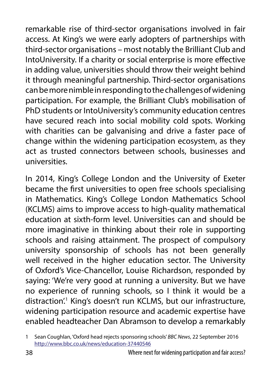remarkable rise of third-sector organisations involved in fair access. At King's we were early adopters of partnerships with third-sector organisations – most notably the Brilliant Club and IntoUniversity. If a charity or social enterprise is more effective in adding value, universities should throw their weight behind it through meaningful partnership. Third-sector organisations can be more nimble in responding to the challenges of widening participation. For example, the Brilliant Club's mobilisation of PhD students or IntoUniversity's community education centres have secured reach into social mobility cold spots. Working with charities can be galvanising and drive a faster pace of change within the widening participation ecosystem, as they act as trusted connectors between schools, businesses and universities.

In 2014, King's College London and the University of Exeter became the first universities to open free schools specialising in Mathematics. King's College London Mathematics School (KCLMS) aims to improve access to high-quality mathematical education at sixth-form level. Universities can and should be more imaginative in thinking about their role in supporting schools and raising attainment. The prospect of compulsory university sponsorship of schools has not been generally well received in the higher education sector. The University of Oxford's Vice-Chancellor, Louise Richardson, responded by saying: 'We're very good at running a university. But we have no experience of running schools, so I think it would be a distraction<sup>'</sup>. King's doesn't run KCLMS, but our infrastructure, widening participation resource and academic expertise have enabled headteacher Dan Abramson to develop a remarkably

<sup>1</sup> Sean Coughlan, 'Oxford head rejects sponsoring schools' *BBC News*, 22 September 2016 <http://www.bbc.co.uk/news/education-37440546>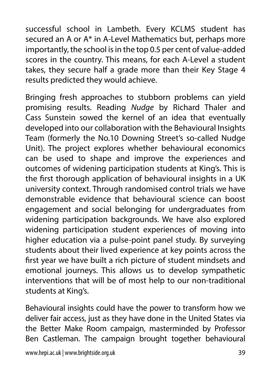successful school in Lambeth. Every KCLMS student has secured an A or A\* in A-Level Mathematics but, perhaps more importantly, the school is in the top 0.5 per cent of value-added scores in the country. This means, for each A-Level a student takes, they secure half a grade more than their Key Stage 4 results predicted they would achieve.

Bringing fresh approaches to stubborn problems can yield promising results. Reading *Nudge* by Richard Thaler and Cass Sunstein sowed the kernel of an idea that eventually developed into our collaboration with the Behavioural Insights Team (formerly the No.10 Downing Street's so-called Nudge Unit). The project explores whether behavioural economics can be used to shape and improve the experiences and outcomes of widening participation students at King's. This is the first thorough application of behavioural insights in a UK university context. Through randomised control trials we have demonstrable evidence that behavioural science can boost engagement and social belonging for undergraduates from widening participation backgrounds. We have also explored widening participation student experiences of moving into higher education via a pulse-point panel study. By surveying students about their lived experience at key points across the first year we have built a rich picture of student mindsets and emotional journeys. This allows us to develop sympathetic interventions that will be of most help to our non-traditional students at King's.

Behavioural insights could have the power to transform how we deliver fair access, just as they have done in the United States via the Better Make Room campaign, masterminded by Professor Ben Castleman. The campaign brought together behavioural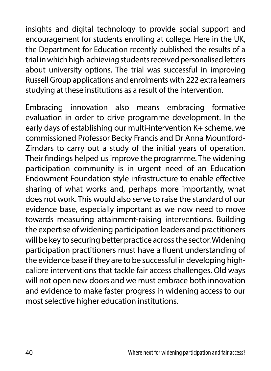insights and digital technology to provide social support and encouragement for students enrolling at college. Here in the UK, the Department for Education recently published the results of a trial in which high-achieving students received personalised letters about university options. The trial was successful in improving Russell Group applications and enrolments with 222 extra learners studying at these institutions as a result of the intervention.

Embracing innovation also means embracing formative evaluation in order to drive programme development. In the early days of establishing our multi-intervention K+ scheme, we commissioned Professor Becky Francis and Dr Anna Mountford-Zimdars to carry out a study of the initial years of operation. Their findings helped us improve the programme. The widening participation community is in urgent need of an Education Endowment Foundation style infrastructure to enable effective sharing of what works and, perhaps more importantly, what does not work. This would also serve to raise the standard of our evidence base, especially important as we now need to move towards measuring attainment-raising interventions. Building the expertise of widening participation leaders and practitioners will be key to securing better practice across the sector. Widening participation practitioners must have a fluent understanding of the evidence base if they are to be successful in developing highcalibre interventions that tackle fair access challenges. Old ways will not open new doors and we must embrace both innovation and evidence to make faster progress in widening access to our most selective higher education institutions.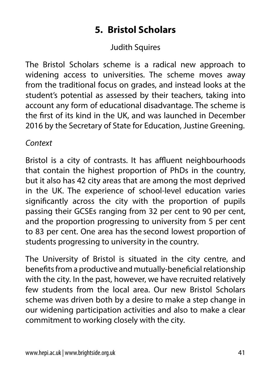# **5. Bristol Scholars**

### Judith Squires

The Bristol Scholars scheme is a radical new approach to widening access to universities. The scheme moves away from the traditional focus on grades, and instead looks at the student's potential as assessed by their teachers, taking into account any form of educational disadvantage. The scheme is the first of its kind in the UK, and was launched in December 2016 by the Secretary of State for Education, Justine Greening.

#### *Context*

Bristol is a city of contrasts. It has affluent neighbourhoods that contain the highest proportion of PhDs in the country, but it also has 42 city areas that are among the most deprived in the UK. The experience of school-level education varies significantly across the city with the proportion of pupils passing their GCSEs ranging from 32 per cent to 90 per cent, and the proportion progressing to university from 5 per cent to 83 per cent. One area has the second lowest proportion of students progressing to university in the country.

The University of Bristol is situated in the city centre, and benefits from a productive and mutually-beneficial relationship with the city. In the past, however, we have recruited relatively few students from the local area. Our new Bristol Scholars scheme was driven both by a desire to make a step change in our widening participation activities and also to make a clear commitment to working closely with the city.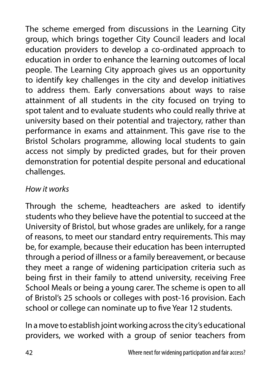The scheme emerged from discussions in the Learning City group, which brings together City Council leaders and local education providers to develop a co-ordinated approach to education in order to enhance the learning outcomes of local people. The Learning City approach gives us an opportunity to identify key challenges in the city and develop initiatives to address them. Early conversations about ways to raise attainment of all students in the city focused on trying to spot talent and to evaluate students who could really thrive at university based on their potential and trajectory, rather than performance in exams and attainment. This gave rise to the Bristol Scholars programme, allowing local students to gain access not simply by predicted grades, but for their proven demonstration for potential despite personal and educational challenges.

#### *How it works*

Through the scheme, headteachers are asked to identify students who they believe have the potential to succeed at the University of Bristol, but whose grades are unlikely, for a range of reasons, to meet our standard entry requirements. This may be, for example, because their education has been interrupted through a period of illness or a family bereavement, or because they meet a range of widening participation criteria such as being first in their family to attend university, receiving Free School Meals or being a young carer. The scheme is open to all of Bristol's 25 schools or colleges with post-16 provision. Each school or college can nominate up to five Year 12 students.

In a move to establish joint working across the city's educational providers, we worked with a group of senior teachers from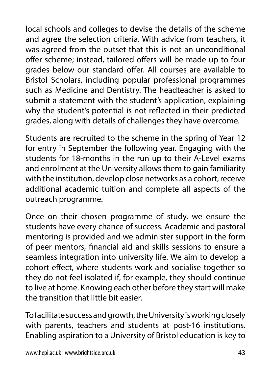local schools and colleges to devise the details of the scheme and agree the selection criteria. With advice from teachers, it was agreed from the outset that this is not an unconditional offer scheme; instead, tailored offers will be made up to four grades below our standard offer. All courses are available to Bristol Scholars, including popular professional programmes such as Medicine and Dentistry. The headteacher is asked to submit a statement with the student's application, explaining why the student's potential is not reflected in their predicted grades, along with details of challenges they have overcome.

Students are recruited to the scheme in the spring of Year 12 for entry in September the following year. Engaging with the students for 18-months in the run up to their A-Level exams and enrolment at the University allows them to gain familiarity with the institution, develop close networks as a cohort, receive additional academic tuition and complete all aspects of the outreach programme.

Once on their chosen programme of study, we ensure the students have every chance of success. Academic and pastoral mentoring is provided and we administer support in the form of peer mentors, financial aid and skills sessions to ensure a seamless integration into university life. We aim to develop a cohort effect, where students work and socialise together so they do not feel isolated if, for example, they should continue to live at home. Knowing each other before they start will make the transition that little bit easier.

To facilitate success and growth, the University is working closely with parents, teachers and students at post-16 institutions. Enabling aspiration to a University of Bristol education is key to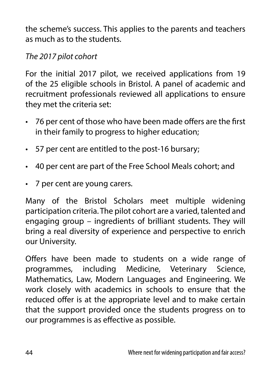the scheme's success. This applies to the parents and teachers as much as to the students.

### *The 2017 pilot cohort*

For the initial 2017 pilot, we received applications from 19 of the 25 eligible schools in Bristol. A panel of academic and recruitment professionals reviewed all applications to ensure they met the criteria set:

- 76 per cent of those who have been made offers are the first in their family to progress to higher education;
- 57 per cent are entitled to the post-16 bursary;
- 40 per cent are part of the Free School Meals cohort; and
- 7 per cent are young carers.

Many of the Bristol Scholars meet multiple widening participation criteria. The pilot cohort are a varied, talented and engaging group – ingredients of brilliant students. They will bring a real diversity of experience and perspective to enrich our University.

Offers have been made to students on a wide range of programmes, including Medicine, Veterinary Science, Mathematics, Law, Modern Languages and Engineering. We work closely with academics in schools to ensure that the reduced offer is at the appropriate level and to make certain that the support provided once the students progress on to our programmes is as effective as possible.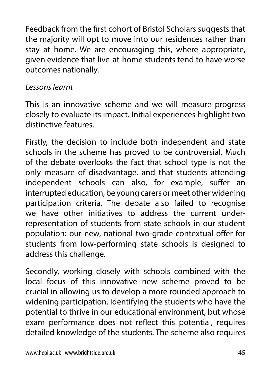Feedback from the first cohort of Bristol Scholars suggests that the majority will opt to move into our residences rather than stay at home. We are encouraging this, where appropriate, given evidence that live-at-home students tend to have worse outcomes nationally.

#### *Lessons learnt*

This is an innovative scheme and we will measure progress closely to evaluate its impact. Initial experiences highlight two distinctive features.

Firstly, the decision to include both independent and state schools in the scheme has proved to be controversial. Much of the debate overlooks the fact that school type is not the only measure of disadvantage, and that students attending independent schools can also, for example, suffer an interrupted education, be young carers or meet other widening participation criteria. The debate also failed to recognise we have other initiatives to address the current underrepresentation of students from state schools in our student population: our new, national two-grade contextual offer for students from low-performing state schools is designed to address this challenge.

Secondly, working closely with schools combined with the local focus of this innovative new scheme proved to be crucial in allowing us to develop a more rounded approach to widening participation. Identifying the students who have the potential to thrive in our educational environment, but whose exam performance does not reflect this potential, requires detailed knowledge of the students. The scheme also requires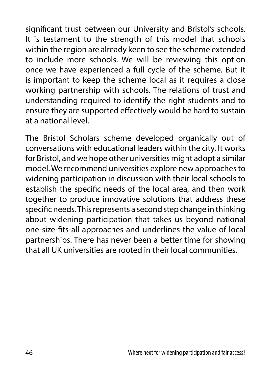significant trust between our University and Bristol's schools. It is testament to the strength of this model that schools within the region are already keen to see the scheme extended to include more schools. We will be reviewing this option once we have experienced a full cycle of the scheme. But it is important to keep the scheme local as it requires a close working partnership with schools. The relations of trust and understanding required to identify the right students and to ensure they are supported effectively would be hard to sustain at a national level.

The Bristol Scholars scheme developed organically out of conversations with educational leaders within the city. It works for Bristol, and we hope other universities might adopt a similar model. We recommend universities explore new approaches to widening participation in discussion with their local schools to establish the specific needs of the local area, and then work together to produce innovative solutions that address these specific needs. This represents a second step change in thinking about widening participation that takes us beyond national one-size-fits-all approaches and underlines the value of local partnerships. There has never been a better time for showing that all UK universities are rooted in their local communities.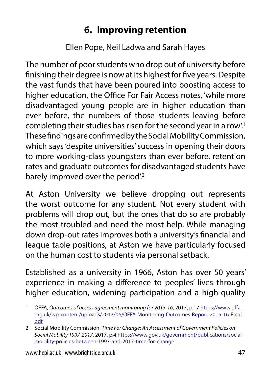# **6. Improving retention**

Ellen Pope, Neil Ladwa and Sarah Hayes

The number of poor students who drop out of university before finishing their degree is now at its highest for five years. Despite the vast funds that have been poured into boosting access to higher education, the Office For Fair Access notes, 'while more disadvantaged young people are in higher education than ever before, the numbers of those students leaving before completing their studies has risen for the second year in a row.<sup>1</sup> These findings are confirmed by the Social Mobility Commission, which says 'despite universities' success in opening their doors to more working-class youngsters than ever before, retention rates and graduate outcomes for disadvantaged students have barely improved over the period.<sup>2</sup>

At Aston University we believe dropping out represents the worst outcome for any student. Not every student with problems will drop out, but the ones that do so are probably the most troubled and need the most help. While managing down drop-out rates improves both a university's financial and league table positions, at Aston we have particularly focused on the human cost to students via personal setback.

Established as a university in 1966, Aston has over 50 years' experience in making a difference to peoples' lives through higher education, widening participation and a high-quality

<sup>1</sup> OFFA, *Outcomes of access agreement monitoring for 2015-16*, 2017, p.17 [https://www.offa.](https://www.offa.org.uk/wp-content/uploads/2017/06/OFFA-Monitoring-Outcomes-Report-2015-16-Final.pdf) [org.uk/wp-content/uploads/2017/06/OFFA-Monitoring-Outcomes-Report-2015-16-Final.](https://www.offa.org.uk/wp-content/uploads/2017/06/OFFA-Monitoring-Outcomes-Report-2015-16-Final.pdf) [pdf](https://www.offa.org.uk/wp-content/uploads/2017/06/OFFA-Monitoring-Outcomes-Report-2015-16-Final.pdf)

<sup>2</sup> Social Mobility Commission, *Time For Change: An Assessment of Government Policies on Social Mobility 1997-2017*, 2017, p.4 [https://www.gov.uk/government/publications/social](https://www.gov.uk/government/publications/social-mobility-policies-between-1997-and-2017-time-for-change)[mobility-policies-between-1997-and-2017-time-for-change](https://www.gov.uk/government/publications/social-mobility-policies-between-1997-and-2017-time-for-change)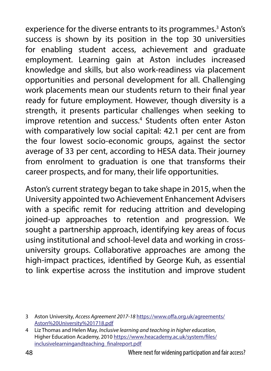experience for the diverse entrants to its programmes.<sup>3</sup> Aston's success is shown by its position in the top 30 universities for enabling student access, achievement and graduate employment. Learning gain at Aston includes increased knowledge and skills, but also work-readiness via placement opportunities and personal development for all. Challenging work placements mean our students return to their final year ready for future employment. However, though diversity is a strength, it presents particular challenges when seeking to improve retention and success.<sup>4</sup> Students often enter Aston with comparatively low social capital: 42.1 per cent are from the four lowest socio-economic groups, against the sector average of 33 per cent, according to HESA data. Their journey from enrolment to graduation is one that transforms their career prospects, and for many, their life opportunities.

Aston's current strategy began to take shape in 2015, when the University appointed two Achievement Enhancement Advisers with a specific remit for reducing attrition and developing joined-up approaches to retention and progression. We sought a partnership approach, identifying key areas of focus using institutional and school-level data and working in crossuniversity groups. Collaborative approaches are among the high-impact practices, identified by George Kuh, as essential to link expertise across the institution and improve student

<sup>3</sup> Aston University, *Access Agreement 2017-18* [https://www.offa.org.uk/agreements/](https://www.offa.org.uk/agreements/Aston%20University%201718.pdf) [Aston%20University%201718.pdf](https://www.offa.org.uk/agreements/Aston%20University%201718.pdf)

<sup>4</sup> Liz Thomas and Helen May, *Inclusive learning and teaching in higher education*, Higher Education Academy, 2010 [https://www.heacademy.ac.uk/system/files/](https://www.heacademy.ac.uk/system/files/inclusivelearningandteaching_finalreport.pdf) [inclusivelearningandteaching\\_finalreport.pdf](https://www.heacademy.ac.uk/system/files/inclusivelearningandteaching_finalreport.pdf)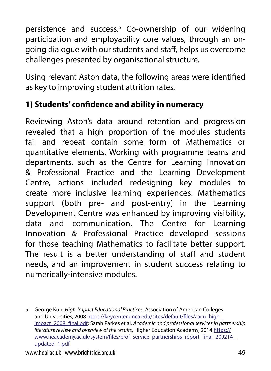persistence and success.<sup>5</sup> Co-ownership of our widening participation and employability core values, through an ongoing dialogue with our students and staff, helps us overcome challenges presented by organisational structure.

Using relevant Aston data, the following areas were identified as key to improving student attrition rates.

### **1) Students' confidence and ability in numeracy**

Reviewing Aston's data around retention and progression revealed that a high proportion of the modules students fail and repeat contain some form of Mathematics or quantitative elements. Working with programme teams and departments, such as the Centre for Learning Innovation & Professional Practice and the Learning Development Centre, actions included redesigning key modules to create more inclusive learning experiences. Mathematics support (both pre- and post-entry) in the Learning Development Centre was enhanced by improving visibility, data and communication. The Centre for Learning Innovation & Professional Practice developed sessions for those teaching Mathematics to facilitate better support. The result is a better understanding of staff and student needs, and an improvement in student success relating to numerically-intensive modules.

www.hepi.ac.uk | www.brightside.org.uk 49

<sup>5</sup> George Kuh, *High-Impact Educational Practices*, Association of American Colleges and Universities, 2008 [https://keycenter.unca.edu/sites/default/files/aacu\\_high\\_](https://keycenter.unca.edu/sites/default/files/aacu_high_impact_2008_final.pdf) [impact\\_2008\\_final.pdf](https://keycenter.unca.edu/sites/default/files/aacu_high_impact_2008_final.pdf); Sarah Parkes et al, *Academic and professional services in partnership literature review and overview of the results*, Higher Education Academy, 2014 [https://](https://www.heacademy.ac.uk/system/files/prof_service_partnerships_report_final_200214_updated_1.pdf) [www.heacademy.ac.uk/system/files/prof\\_service\\_partnerships\\_report\\_final\\_200214\\_](https://www.heacademy.ac.uk/system/files/prof_service_partnerships_report_final_200214_updated_1.pdf) [updated\\_1.pdf](https://www.heacademy.ac.uk/system/files/prof_service_partnerships_report_final_200214_updated_1.pdf)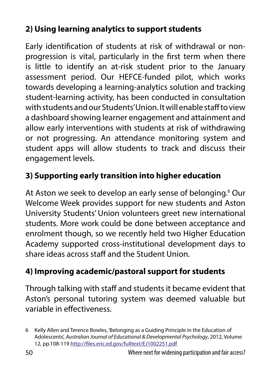### **2) Using learning analytics to support students**

Early identification of students at risk of withdrawal or nonprogression is vital, particularly in the first term when there is little to identify an at-risk student prior to the January assessment period. Our HEFCE-funded pilot, which works towards developing a learning-analytics solution and tracking student-learning activity, has been conducted in consultation with students and our Students' Union. It will enable staff to view a dashboard showing learner engagement and attainment and allow early interventions with students at risk of withdrawing or not progressing. An attendance monitoring system and student apps will allow students to track and discuss their engagement levels.

## **3) Supporting early transition into higher education**

At Aston we seek to develop an early sense of belonging.<sup>6</sup> Our Welcome Week provides support for new students and Aston University Students' Union volunteers greet new international students. More work could be done between acceptance and enrolment though, so we recently held two Higher Education Academy supported cross-institutional development days to share ideas across staff and the Student Union.

### **4) Improving academic/pastoral support for students**

Through talking with staff and students it became evident that Aston's personal tutoring system was deemed valuable but variable in effectiveness.

<sup>6</sup> Kelly Allen and Terence Bowles, 'Belonging as a Guiding Principle in the Education of Adolescents', *Australian Journal of Educational & Developmental Psychology*, 2012, Volume 12, pp.108-119 <http://files.eric.ed.gov/fulltext/EJ1002251.pdf>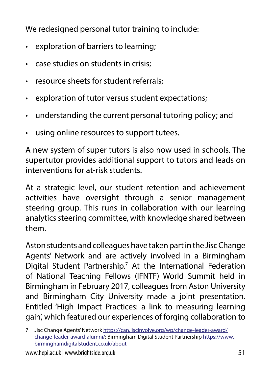We redesigned personal tutor training to include:

- exploration of barriers to learning;
- case studies on students in crisis;
- resource sheets for student referrals;
- exploration of tutor versus student expectations;
- understanding the current personal tutoring policy; and
- using online resources to support tutees.

A new system of super tutors is also now used in schools. The supertutor provides additional support to tutors and leads on interventions for at-risk students.

At a strategic level, our student retention and achievement activities have oversight through a senior management steering group. This runs in collaboration with our learning analytics steering committee, with knowledge shared between them.

Aston students and colleagues have taken part in the Jisc Change Agents' Network and are actively involved in a Birmingham Digital Student Partnership.<sup>7</sup> At the International Federation of National Teaching Fellows (IFNTF) World Summit held in Birmingham in February 2017, colleagues from Aston University and Birmingham City University made a joint presentation. Entitled 'High Impact Practices: a link to measuring learning gain', which featured our experiences of forging collaboration to

www.hepi.ac.uk | www.brightside.org.uk 51

<sup>7</sup> Jisc Change Agents' Network [https://can.jiscinvolve.org/wp/change-leader-award/](https://can.jiscinvolve.org/wp/change-leader-award/change-leader-award-alumni/) [change-leader-award-alumni/](https://can.jiscinvolve.org/wp/change-leader-award/change-leader-award-alumni/); Birmingham Digital Student Partnership [https://www.](https://www.birminghamdigitalstudent.co.uk/about) [birminghamdigitalstudent.co.uk/about](https://www.birminghamdigitalstudent.co.uk/about)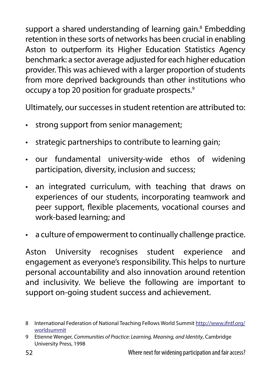support a shared understanding of learning gain.<sup>8</sup> Embedding retention in these sorts of networks has been crucial in enabling Aston to outperform its Higher Education Statistics Agency benchmark: a sector average adjusted for each higher education provider. This was achieved with a larger proportion of students from more deprived backgrounds than other institutions who occupy a top 20 position for graduate prospects.9

Ultimately, our successes in student retention are attributed to:

- strong support from senior management;
- strategic partnerships to contribute to learning gain;
- our fundamental university-wide ethos of widening participation, diversity, inclusion and success;
- an integrated curriculum, with teaching that draws on experiences of our students, incorporating teamwork and peer support, flexible placements, vocational courses and work-based learning; and
- a culture of empowerment to continually challenge practice.

Aston University recognises student experience and engagement as everyone's responsibility. This helps to nurture personal accountability and also innovation around retention and inclusivity. We believe the following are important to support on-going student success and achievement.

<sup>8</sup> International Federation of National Teaching Fellows World Summit [http://www.ifntf.org/](http://www.ifntf.org/worldsummit) [worldsummit](http://www.ifntf.org/worldsummit)

<sup>9</sup> Etienne Wenger, *Communities of Practice: Learning, Meaning, and Identity*, Cambridge University Press, 1998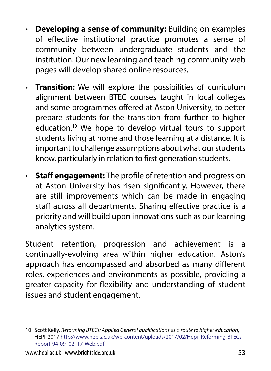- **Developing a sense of community:** Building on examples of effective institutional practice promotes a sense of community between undergraduate students and the institution. Our new learning and teaching community web pages will develop shared online resources.
- **Transition:** We will explore the possibilities of curriculum alignment between BTEC courses taught in local colleges and some programmes offered at Aston University, to better prepare students for the transition from further to higher education.10 We hope to develop virtual tours to support students living at home and those learning at a distance. It is important to challenge assumptions about what our students know, particularly in relation to first generation students.
- **Staff engagement:** The profile of retention and progression at Aston University has risen significantly. However, there are still improvements which can be made in engaging staff across all departments. Sharing effective practice is a priority and will build upon innovations such as our learning analytics system.

Student retention, progression and achievement is a continually-evolving area within higher education. Aston's approach has encompassed and absorbed as many different roles, experiences and environments as possible, providing a greater capacity for flexibility and understanding of student issues and student engagement.

<sup>10</sup> Scott Kelly, *Reforming BTECs: Applied General qualifications as a route to higher education*, HEPI, 2017 [http://www.hepi.ac.uk/wp-content/uploads/2017/02/Hepi\\_Reforming-BTECs-](http://www.hepi.ac.uk/wp-content/uploads/2017/02/Hepi_Reforming-BTECs-Report-94-09_02_17-Web.pdf)[Report-94-09\\_02\\_17-Web.pdf](http://www.hepi.ac.uk/wp-content/uploads/2017/02/Hepi_Reforming-BTECs-Report-94-09_02_17-Web.pdf)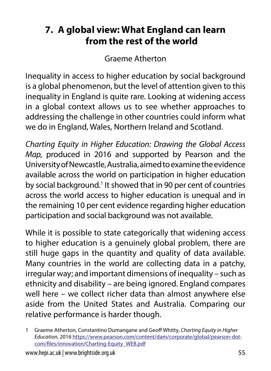## **7. A global view: What England can learn from the rest of the world**

Graeme Atherton

Inequality in access to higher education by social background is a global phenomenon, but the level of attention given to this inequality in England is quite rare. Looking at widening access in a global context allows us to see whether approaches to addressing the challenge in other countries could inform what we do in England, Wales, Northern Ireland and Scotland.

*Charting Equity in Higher Education: Drawing the Global Access Map,* produced in 2016 and supported by Pearson and the University of Newcastle, Australia, aimed to examine the evidence available across the world on participation in higher education by social background.<sup>1</sup> It showed that in 90 per cent of countries across the world access to higher education is unequal and in the remaining 10 per cent evidence regarding higher education participation and social background was not available.

While it is possible to state categorically that widening access to higher education is a genuinely global problem, there are still huge gaps in the quantity and quality of data available. Many countries in the world are collecting data in a patchy, irregular way; and important dimensions of inequality – such as ethnicity and disability – are being ignored. England compares well here – we collect richer data than almost anywhere else aside from the United States and Australia. Comparing our relative performance is harder though.

<sup>1</sup> Graeme Atherton, Constantino Dumangane and Geoff Whitty, *Charting Equity in Higher Education*, 2016 [https://www.pearson.com/content/dam/corporate/global/pearson-dot](https://www.pearson.com/content/dam/corporate/global/pearson-dot-com/files/innovation/Charting-Equity_WEB.pdf)[com/files/innovation/Charting-Equity\\_WEB.pdf](https://www.pearson.com/content/dam/corporate/global/pearson-dot-com/files/innovation/Charting-Equity_WEB.pdf)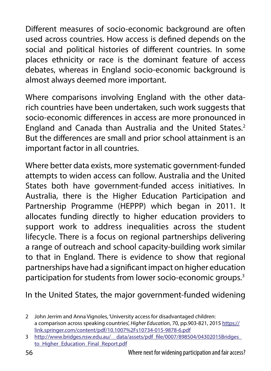Different measures of socio-economic background are often used across countries. How access is defined depends on the social and political histories of different countries. In some places ethnicity or race is the dominant feature of access debates, whereas in England socio-economic background is almost always deemed more important.

Where comparisons involving England with the other datarich countries have been undertaken, such work suggests that socio-economic differences in access are more pronounced in England and Canada than Australia and the United States.<sup>2</sup> But the differences are small and prior school attainment is an important factor in all countries.

Where better data exists, more systematic government-funded attempts to widen access can follow. Australia and the United States both have government-funded access initiatives. In Australia, there is the Higher Education Participation and Partnership Programme (HEPPP) which began in 2011. It allocates funding directly to higher education providers to support work to address inequalities across the student lifecycle. There is a focus on regional partnerships delivering a range of outreach and school capacity-building work similar to that in England. There is evidence to show that regional partnerships have had a significant impact on higher education participation for students from lower socio-economic groups.3

In the United States, the major government-funded widening

<sup>2</sup> John Jerrim and Anna Vignoles, 'University access for disadvantaged children: a comparison across speaking countries', *Higher Education*, 70, pp.903-821, 2015 [https://](https://link.springer.com/content/pdf/10.1007%2Fs10734-015-9878-6.pdf) [link.springer.com/content/pdf/10.1007%2Fs10734-015-9878-6.pdf](https://link.springer.com/content/pdf/10.1007%2Fs10734-015-9878-6.pdf)

<sup>3</sup> [http://www.bridges.nsw.edu.au/\\_\\_data/assets/pdf\\_file/0007/898504/04302015Bridges\\_](http://www.bridges.nsw.edu.au/__data/assets/pdf_file/0007/898504/04302015Bridges_to_Higher_Education_Final_Report.pdf) to Higher Education Final Report.pdf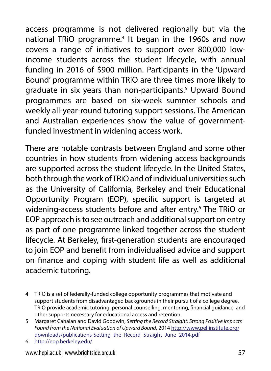access programme is not delivered regionally but via the national TRiO programme.<sup>4</sup> It began in the 1960s and now covers a range of initiatives to support over 800,000 lowincome students across the student lifecycle, with annual funding in 2016 of \$900 million. Participants in the 'Upward Bound' programme within TRiO are three times more likely to graduate in six years than non-participants.<sup>5</sup> Upward Bound programmes are based on six-week summer schools and weekly all-year-round tutoring support sessions. The American and Australian experiences show the value of governmentfunded investment in widening access work.

There are notable contrasts between England and some other countries in how students from widening access backgrounds are supported across the student lifecycle. In the United States, both through the work of TRiO and of individual universities such as the University of California, Berkeley and their Educational Opportunity Program (EOP), specific support is targeted at widening-access students before and after entry.<sup>6</sup> The TRiO or EOP approach is to see outreach and additional support on entry as part of one programme linked together across the student lifecycle. At Berkeley, first-generation students are encouraged to join EOP and benefit from individualised advice and support on finance and coping with student life as well as additional academic tutoring.

- 4 TRiO is a set of federally-funded college opportunity programmes that motivate and support students from disadvantaged backgrounds in their pursuit of a college degree. TRiO provide academic tutoring, personal counselling, mentoring, financial guidance, and other supports necessary for educational access and retention.
- 5 Margaret Cahalan and David Goodwin, *Setting the Record Straight: Strong Positive Impacts Found from the National Evaluation of Upward Bound*, 2014 [http://www.pellinstitute.org/](http://www.pellinstitute.org/downloads/publications-Setting_the_Record_Straight_June_2014.pdf) [downloads/publications-Setting\\_the\\_Record\\_Straight\\_June\\_2014.pdf](http://www.pellinstitute.org/downloads/publications-Setting_the_Record_Straight_June_2014.pdf)
- 6 <http://eop.berkeley.edu/>

www.hepi.ac.uk | www.brightside.org.uk 57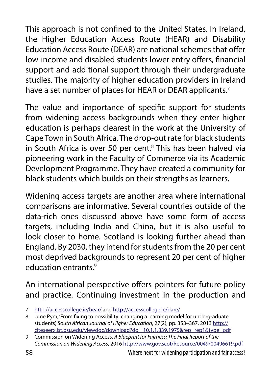This approach is not confined to the United States. In Ireland, the Higher Education Access Route (HEAR) and Disability Education Access Route (DEAR) are national schemes that offer low-income and disabled students lower entry offers, financial support and additional support through their undergraduate studies. The majority of higher education providers in Ireland have a set number of places for HEAR or DEAR applicants.<sup>7</sup>

The value and importance of specific support for students from widening access backgrounds when they enter higher education is perhaps clearest in the work at the University of Cape Town in South Africa. The drop-out rate for black students in South Africa is over 50 per cent.<sup>8</sup> This has been halved via pioneering work in the Faculty of Commerce via its Academic Development Programme. They have created a community for black students which builds on their strengths as learners.

Widening access targets are another area where international comparisons are informative. Several countries outside of the data-rich ones discussed above have some form of access targets, including India and China, but it is also useful to look closer to home. Scotland is looking further ahead than England. By 2030, they intend for students from the 20 per cent most deprived backgrounds to represent 20 per cent of higher education entrants.9

An international perspective offers pointers for future policy and practice. Continuing investment in the production and

<sup>7</sup> <http://accesscollege.ie/hear/> and <http://accesscollege.ie/dare/>

<sup>8</sup> June Pym, 'From fixing to possibility: changing a learning model for undergraduate students', *South African Journal of Higher Education*, 27(2), pp. 353–367, 2013 [http://](http://citeseerx.ist.psu.edu/viewdoc/download?doi=10.1.1.839.1975&rep=rep1&type=pdf) [citeseerx.ist.psu.edu/viewdoc/download?doi=10.1.1.839.1975&rep=rep1&type=pdf](http://citeseerx.ist.psu.edu/viewdoc/download?doi=10.1.1.839.1975&rep=rep1&type=pdf)

<sup>9</sup> Commission on Widening Access, *A Blueprint for Fairness: The Final Report of the Commission on Widening Access*, 2016<http://www.gov.scot/Resource/0049/00496619.pdf>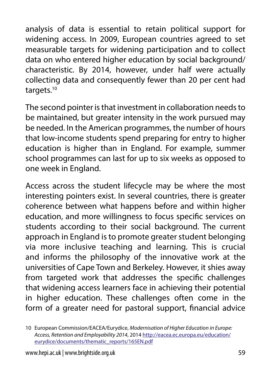analysis of data is essential to retain political support for widening access. In 2009, European countries agreed to set measurable targets for widening participation and to collect data on who entered higher education by social background/ characteristic. By 2014, however, under half were actually collecting data and consequently fewer than 20 per cent had targets.<sup>10</sup>

The second pointer is that investment in collaboration needs to be maintained, but greater intensity in the work pursued may be needed. In the American programmes, the number of hours that low-income students spend preparing for entry to higher education is higher than in England. For example, summer school programmes can last for up to six weeks as opposed to one week in England.

Access across the student lifecycle may be where the most interesting pointers exist. In several countries, there is greater coherence between what happens before and within higher education, and more willingness to focus specific services on students according to their social background. The current approach in England is to promote greater student belonging via more inclusive teaching and learning. This is crucial and informs the philosophy of the innovative work at the universities of Cape Town and Berkeley. However, it shies away from targeted work that addresses the specific challenges that widening access learners face in achieving their potential in higher education. These challenges often come in the form of a greater need for pastoral support, financial advice

<sup>10</sup> European Commission/EACEA/Eurydice, *Modernisation of Higher Education in Europe: Access, Retention and Employability 2014*, 2014 [http://eacea.ec.europa.eu/education/](http://eacea.ec.europa.eu/education/eurydice/documents/thematic_reports/165EN.pdf) [eurydice/documents/thematic\\_reports/165EN.pdf](http://eacea.ec.europa.eu/education/eurydice/documents/thematic_reports/165EN.pdf)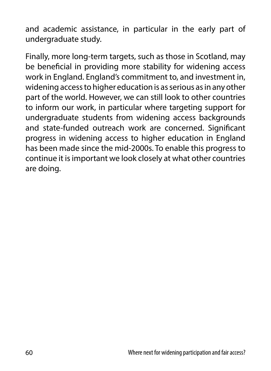and academic assistance, in particular in the early part of undergraduate study.

Finally, more long-term targets, such as those in Scotland, may be beneficial in providing more stability for widening access work in England. England's commitment to, and investment in, widening access to higher education is as serious as in any other part of the world. However, we can still look to other countries to inform our work, in particular where targeting support for undergraduate students from widening access backgrounds and state-funded outreach work are concerned. Significant progress in widening access to higher education in England has been made since the mid-2000s. To enable this progress to continue it is important we look closely at what other countries are doing.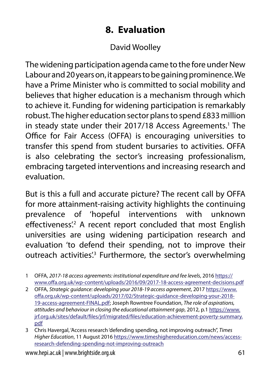## **8. Evaluation**

### David Woolley

The widening participation agenda came to the fore under New Labour and 20 years on, it appears to be gaining prominence. We have a Prime Minister who is committed to social mobility and believes that higher education is a mechanism through which to achieve it. Funding for widening participation is remarkably robust. The higher education sector plans to spend £833 million in steady state under their 2017/18 Access Agreements.<sup>1</sup> The Office for Fair Access (OFFA) is encouraging universities to transfer this spend from student bursaries to activities. OFFA is also celebrating the sector's increasing professionalism, embracing targeted interventions and increasing research and evaluation.

But is this a full and accurate picture? The recent call by OFFA for more attainment-raising activity highlights the continuing prevalence of 'hopeful interventions with unknown effectiveness<sup>"</sup>. A recent report concluded that most English universities are using widening participation research and evaluation 'to defend their spending, not to improve their outreach activities<sup>'3</sup> Furthermore, the sector's overwhelming

2 OFFA, *Strategic guidance: developing your 2018-19 access agreement*, 2017 [https://www.](https://www.offa.org.uk/wp-content/uploads/2017/02/Strategic-guidance-developing-your-2018-19-access-agreement-FINAL.pdf) [offa.org.uk/wp-content/uploads/2017/02/Strategic-guidance-developing-your-2018-](https://www.offa.org.uk/wp-content/uploads/2017/02/Strategic-guidance-developing-your-2018-19-access-agreement-FINAL.pdf) [19-access-agreement-FINAL.pdf](https://www.offa.org.uk/wp-content/uploads/2017/02/Strategic-guidance-developing-your-2018-19-access-agreement-FINAL.pdf); Joseph Rowntree Foundation, *The role of aspirations, attitudes and behaviour in closing the educational attainment gap*, 2012, p.1 [https://www.](https://www.jrf.org.uk/sites/default/files/jrf/migrated/files/education-achievement-poverty-summary.pdf) [jrf.org.uk/sites/default/files/jrf/migrated/files/education-achievement-poverty-summary.](https://www.jrf.org.uk/sites/default/files/jrf/migrated/files/education-achievement-poverty-summary.pdf) [pdf](https://www.jrf.org.uk/sites/default/files/jrf/migrated/files/education-achievement-poverty-summary.pdf)

<sup>1</sup> OFFA, *2017-18 access agreements: institutional expenditure and fee levels*, 2016 [https://](https://www.offa.org.uk/wp-content/uploads/2016/09/2017-18-access-agreement-decisions.pdf) [www.offa.org.uk/wp-content/uploads/2016/09/2017-18-access-agreement-decisions.pdf](https://www.offa.org.uk/wp-content/uploads/2016/09/2017-18-access-agreement-decisions.pdf)

<sup>3</sup> Chris Havergal, 'Access research 'defending spending, not improving outreach'', *Times Higher Education*, 11 August 2016 [https://www.timeshighereducation.com/news/access](https://www.timeshighereducation.com/news/access-research-defending-spending-not-improving-outreach)[research-defending-spending-not-improving-outreach](https://www.timeshighereducation.com/news/access-research-defending-spending-not-improving-outreach)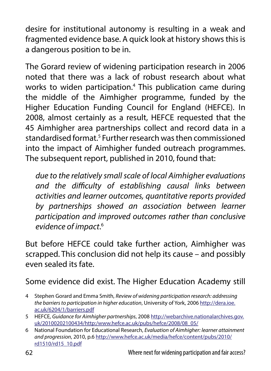desire for institutional autonomy is resulting in a weak and fragmented evidence base. A quick look at history shows this is a dangerous position to be in.

The Gorard review of widening participation research in 2006 noted that there was a lack of robust research about what works to widen participation.<sup>4</sup> This publication came during the middle of the Aimhigher programme, funded by the Higher Education Funding Council for England (HEFCE). In 2008, almost certainly as a result, HEFCE requested that the 45 Aimhigher area partnerships collect and record data in a standardised format.<sup>5</sup> Further research was then commissioned into the impact of Aimhigher funded outreach programmes. The subsequent report, published in 2010, found that:

*due to the relatively small scale of local Aimhigher evaluations and the difficulty of establishing causal links between activities and learner outcomes, quantitative reports provided by partnerships showed an association between learner participation and improved outcomes rather than conclusive evidence of impact*. 6

But before HEFCE could take further action, Aimhigher was scrapped. This conclusion did not help its cause – and possibly even sealed its fate.

Some evidence did exist. The Higher Education Academy still

- 4 Stephen Gorard and Emma Smith, *Review of widening participation research: addressing the barriers to participation in higher education*, University of York, 2006 [http://dera.ioe.](http://dera.ioe.ac.uk/6204/1/barriers.pdf) [ac.uk/6204/1/barriers.pdf](http://dera.ioe.ac.uk/6204/1/barriers.pdf)
- 5 HEFCE, *Guidance for Aimhigher partnerships*, 2008 [http://webarchive.nationalarchives.gov.](http://webarchive.nationalarchives.gov.uk/20100202100434/http:/www.hefce.ac.uk/pubs/hefce/2008/08_05/) [uk/20100202100434/http:/www.hefce.ac.uk/pubs/hefce/2008/08\\_05/](http://webarchive.nationalarchives.gov.uk/20100202100434/http:/www.hefce.ac.uk/pubs/hefce/2008/08_05/)
- 6 National Foundation for Educational Research, *Evaluation of Aimhigher: learner attainment and progression*, 2010, p.6 [http://www.hefce.ac.uk/media/hefce/content/pubs/2010/](http://www.hefce.ac.uk/media/hefce/content/pubs/2010/rd1510/rd15_10.pdf) [rd1510/rd15\\_10.pdf](http://www.hefce.ac.uk/media/hefce/content/pubs/2010/rd1510/rd15_10.pdf)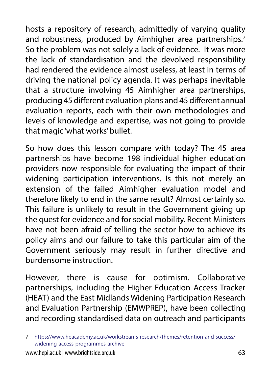hosts a repository of research, admittedly of varying quality and robustness, produced by Aimhigher area partnerships.<sup>7</sup> So the problem was not solely a lack of evidence. It was more the lack of standardisation and the devolved responsibility had rendered the evidence almost useless, at least in terms of driving the national policy agenda. It was perhaps inevitable that a structure involving 45 Aimhigher area partnerships, producing 45 different evaluation plans and 45 different annual evaluation reports, each with their own methodologies and levels of knowledge and expertise, was not going to provide that magic 'what works' bullet.

So how does this lesson compare with today? The 45 area partnerships have become 198 individual higher education providers now responsible for evaluating the impact of their widening participation interventions. Is this not merely an extension of the failed Aimhigher evaluation model and therefore likely to end in the same result? Almost certainly so. This failure is unlikely to result in the Government giving up the quest for evidence and for social mobility. Recent Ministers have not been afraid of telling the sector how to achieve its policy aims and our failure to take this particular aim of the Government seriously may result in further directive and burdensome instruction.

However, there is cause for optimism. Collaborative partnerships, including the Higher Education Access Tracker (HEAT) and the East Midlands Widening Participation Research and Evaluation Partnership (EMWPREP), have been collecting and recording standardised data on outreach and participants

<sup>7</sup> [https://www.heacademy.ac.uk/workstreams-research/themes/retention-and-success/](https://www.heacademy.ac.uk/workstreams-research/themes/retention-and-success/widening-access-programmes-archive) [widening-access-programmes-archive](https://www.heacademy.ac.uk/workstreams-research/themes/retention-and-success/widening-access-programmes-archive)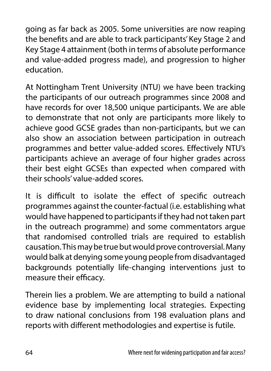going as far back as 2005. Some universities are now reaping the benefits and are able to track participants' Key Stage 2 and Key Stage 4 attainment (both in terms of absolute performance and value-added progress made), and progression to higher education.

At Nottingham Trent University (NTU) we have been tracking the participants of our outreach programmes since 2008 and have records for over 18,500 unique participants. We are able to demonstrate that not only are participants more likely to achieve good GCSE grades than non-participants, but we can also show an association between participation in outreach programmes and better value-added scores. Effectively NTU's participants achieve an average of four higher grades across their best eight GCSEs than expected when compared with their schools' value-added scores.

It is difficult to isolate the effect of specific outreach programmes against the counter-factual (i.e. establishing what would have happened to participants if they had not taken part in the outreach programme) and some commentators argue that randomised controlled trials are required to establish causation. This may be true but would prove controversial. Many would balk at denying some young people from disadvantaged backgrounds potentially life-changing interventions just to measure their efficacy.

Therein lies a problem. We are attempting to build a national evidence base by implementing local strategies. Expecting to draw national conclusions from 198 evaluation plans and reports with different methodologies and expertise is futile.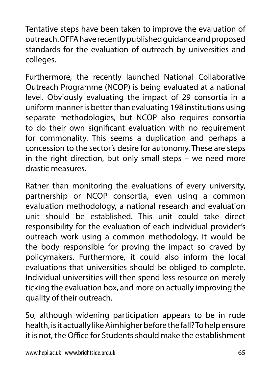Tentative steps have been taken to improve the evaluation of outreach. OFFA have recently published guidance and proposed standards for the evaluation of outreach by universities and colleges.

Furthermore, the recently launched National Collaborative Outreach Programme (NCOP) is being evaluated at a national level. Obviously evaluating the impact of 29 consortia in a uniform manner is better than evaluating 198 institutions using separate methodologies, but NCOP also requires consortia to do their own significant evaluation with no requirement for commonality. This seems a duplication and perhaps a concession to the sector's desire for autonomy. These are steps in the right direction, but only small steps – we need more drastic measures.

Rather than monitoring the evaluations of every university, partnership or NCOP consortia, even using a common evaluation methodology, a national research and evaluation unit should be established. This unit could take direct responsibility for the evaluation of each individual provider's outreach work using a common methodology. It would be the body responsible for proving the impact so craved by policymakers. Furthermore, it could also inform the local evaluations that universities should be obliged to complete. Individual universities will then spend less resource on merely ticking the evaluation box, and more on actually improving the quality of their outreach.

So, although widening participation appears to be in rude health, is it actually like Aimhigher before the fall? To help ensure it is not, the Office for Students should make the establishment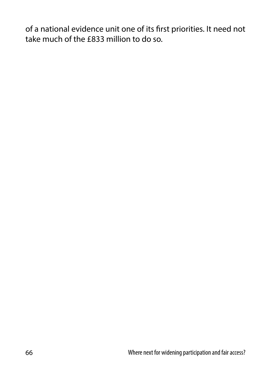of a national evidence unit one of its first priorities. It need not take much of the £833 million to do so.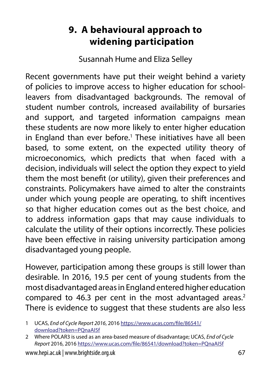## **9. A behavioural approach to widening participation**

Susannah Hume and Eliza Selley

Recent governments have put their weight behind a variety of policies to improve access to higher education for schoolleavers from disadvantaged backgrounds. The removal of student number controls, increased availability of bursaries and support, and targeted information campaigns mean these students are now more likely to enter higher education in England than ever before.<sup>1</sup> These initiatives have all been based, to some extent, on the expected utility theory of microeconomics, which predicts that when faced with a decision, individuals will select the option they expect to yield them the most benefit (or utility), given their preferences and constraints. Policymakers have aimed to alter the constraints under which young people are operating, to shift incentives so that higher education comes out as the best choice, and to address information gaps that may cause individuals to calculate the utility of their options incorrectly. These policies have been effective in raising university participation among disadvantaged young people.

However, participation among these groups is still lower than desirable. In 2016, 19.5 per cent of young students from the most disadvantaged areas in England entered higher education compared to 46.3 per cent in the most advantaged areas.<sup>2</sup> There is evidence to suggest that these students are also less

<sup>1</sup> UCAS, *End of Cycle Report 2016*, 2016 [https://www.ucas.com/file/86541/](https://www.ucas.com/file/86541/download?token=PQnaAI5f) [download?token=PQnaAI5f](https://www.ucas.com/file/86541/download?token=PQnaAI5f)

<sup>2</sup> Where POLAR3 is used as an area-based measure of disadvantage; UCAS, *End of Cycle Report* 2016, 2016 <https://www.ucas.com/file/86541/download?token=PQnaAI5f>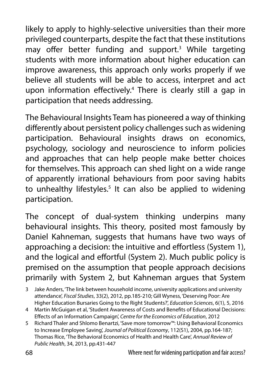likely to apply to highly-selective universities than their more privileged counterparts, despite the fact that these institutions may offer better funding and support.3 While targeting students with more information about higher education can improve awareness, this approach only works properly if we believe all students will be able to access, interpret and act upon information effectively.4 There is clearly still a gap in participation that needs addressing.

The Behavioural Insights Team has pioneered a way of thinking differently about persistent policy challenges such as widening participation. Behavioural insights draws on economics, psychology, sociology and neuroscience to inform policies and approaches that can help people make better choices for themselves. This approach can shed light on a wide range of apparently irrational behaviours from poor saving habits to unhealthy lifestyles.<sup>5</sup> It can also be applied to widening participation.

The concept of dual-system thinking underpins many behavioural insights. This theory, posited most famously by Daniel Kahneman, suggests that humans have two ways of approaching a decision: the intuitive and effortless (System 1), and the logical and effortful (System 2). Much public policy is premised on the assumption that people approach decisions primarily with System 2, but Kahneman argues that System

<sup>3</sup> Jake Anders, 'The link between household income, university applications and university attendance', *Fiscal Studies*, 33(2), 2012, pp.185-210; Gill Wyness, 'Deserving Poor: Are Higher Education Bursaries Going to the Right Students?', *Education Sciences*, 6(1), 5, 2016

<sup>4</sup> Martin McGuigan et al, 'Student Awareness of Costs and Benefits of Educational Decisions: Effects of an Information Campaign', *Centre for the Economics of Education*, 2012

<sup>5</sup> Richard Thaler and Shlomo Benartzi, 'Save more tomorrow™: Using Behavioral Economics to Increase Employee Saving', *Journal of Political Economy*, 112(S1), 2004, pp.164-187; Thomas Rice, 'The Behavioral Economics of Health and Health Care', *Annual Review of Public Health*, 34, 2013, pp.431-447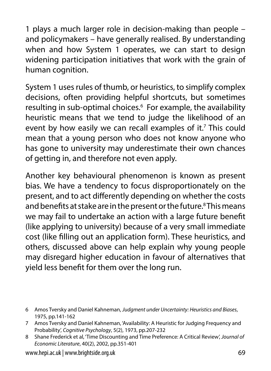1 plays a much larger role in decision-making than people – and policymakers – have generally realised. By understanding when and how System 1 operates, we can start to design widening participation initiatives that work with the grain of human cognition.

System 1 uses rules of thumb, or heuristics, to simplify complex decisions, often providing helpful shortcuts, but sometimes resulting in sub-optimal choices.<sup>6</sup> For example, the availability heuristic means that we tend to judge the likelihood of an event by how easily we can recall examples of it.<sup>7</sup> This could mean that a young person who does not know anyone who has gone to university may underestimate their own chances of getting in, and therefore not even apply.

Another key behavioural phenomenon is known as present bias. We have a tendency to focus disproportionately on the present, and to act differently depending on whether the costs and benefits at stake are in the present or the future.<sup>8</sup> This means we may fail to undertake an action with a large future benefit (like applying to university) because of a very small immediate cost (like filling out an application form). These heuristics, and others, discussed above can help explain why young people may disregard higher education in favour of alternatives that yield less benefit for them over the long run.

- 6 Amos Tversky and Daniel Kahneman, *Judgment under Uncertainty: Heuristics and Biases*, 1975, pp.141-162
- 7 Amos Tversky and Daniel Kahneman, 'Availability: A Heuristic for Judging Frequency and Probability', *Cognitive Psychology*, 5(2), 1973, pp.207-232
- 8 Shane Frederick et al, 'Time Discounting and Time Preference: A Critical Review', *Journal of Economic Literature*, 40(2), 2002, pp.351-401

www.hepi.ac.uk | www.brightside.org.uk 69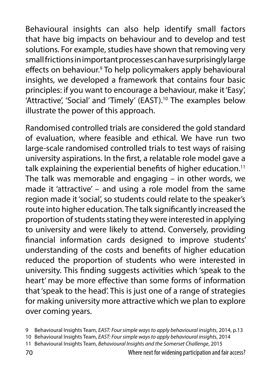Behavioural insights can also help identify small factors that have big impacts on behaviour and to develop and test solutions. For example, studies have shown that removing very small frictions in important processes can have surprisingly large effects on behaviour.<sup>9</sup> To help policymakers apply behavioural insights, we developed a framework that contains four basic principles: if you want to encourage a behaviour, make it 'Easy', 'Attractive', 'Social' and 'Timely' (EAST).<sup>10</sup> The examples below illustrate the power of this approach.

Randomised controlled trials are considered the gold standard of evaluation, where feasible and ethical. We have run two large-scale randomised controlled trials to test ways of raising university aspirations. In the first, a relatable role model gave a talk explaining the experiential benefits of higher education.<sup>11</sup> The talk was memorable and engaging – in other words, we made it 'attractive' – and using a role model from the same region made it 'social', so students could relate to the speaker's route into higher education. The talk significantly increased the proportion of students stating they were interested in applying to university and were likely to attend. Conversely, providing financial information cards designed to improve students' understanding of the costs and benefits of higher education reduced the proportion of students who were interested in university. This finding suggests activities which 'speak to the heart' may be more effective than some forms of information that 'speak to the head'. This is just one of a range of strategies for making university more attractive which we plan to explore over coming years.

<sup>9</sup> Behavioural Insights Team, *EAST: Four simple ways to apply behavioural insights*, 2014, p.13

<sup>10</sup> Behavioural Insights Team, *EAST: Four simple ways to apply behavioural insights*, 2014

<sup>11</sup> Behavioural Insights Team, *Behavioural Insights and the Somerset Challenge*, 2015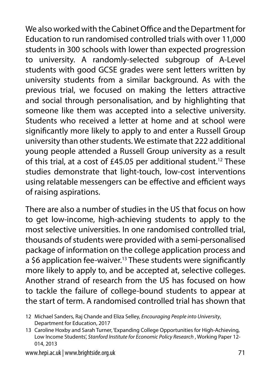We also worked with the Cabinet Office and the Department for Education to run randomised controlled trials with over 11,000 students in 300 schools with lower than expected progression to university. A randomly-selected subgroup of A-Level students with good GCSE grades were sent letters written by university students from a similar background. As with the previous trial, we focused on making the letters attractive and social through personalisation, and by highlighting that someone like them was accepted into a selective university. Students who received a letter at home and at school were significantly more likely to apply to and enter a Russell Group university than other students. We estimate that 222 additional young people attended a Russell Group university as a result of this trial, at a cost of £45.05 per additional student.12 These studies demonstrate that light-touch, low-cost interventions using relatable messengers can be effective and efficient ways of raising aspirations.

There are also a number of studies in the US that focus on how to get low-income, high-achieving students to apply to the most selective universities. In one randomised controlled trial, thousands of students were provided with a semi-personalised package of information on the college application process and a \$6 application fee-waiver.<sup>13</sup> These students were significantly more likely to apply to, and be accepted at, selective colleges. Another strand of research from the US has focused on how to tackle the failure of college-bound students to appear at the start of term. A randomised controlled trial has shown that

<sup>12</sup> Michael Sanders, Raj Chande and Eliza Selley, *Encouraging People into University*, Department for Education, 2017

<sup>13</sup> Caroline Hoxby and Sarah Turner, 'Expanding College Opportunities for High-Achieving, Low Income Students', *Stanford Institute for Economic Policy Research* , Working Paper 12- 014, 2013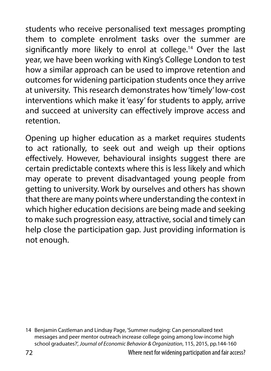students who receive personalised text messages prompting them to complete enrolment tasks over the summer are significantly more likely to enrol at college.<sup>14</sup> Over the last year, we have been working with King's College London to test how a similar approach can be used to improve retention and outcomes for widening participation students once they arrive at university. This research demonstrates how 'timely' low-cost interventions which make it 'easy' for students to apply, arrive and succeed at university can effectively improve access and retention.

Opening up higher education as a market requires students to act rationally, to seek out and weigh up their options effectively. However, behavioural insights suggest there are certain predictable contexts where this is less likely and which may operate to prevent disadvantaged young people from getting to university. Work by ourselves and others has shown that there are many points where understanding the context in which higher education decisions are being made and seeking to make such progression easy, attractive, social and timely can help close the participation gap. Just providing information is not enough.

<sup>14</sup> Benjamin Castleman and Lindsay Page, 'Summer nudging: Can personalized text messages and peer mentor outreach increase college going among low-income high school graduates?', *Journal of Economic Behavior & Organization*, 115, 2015, pp.144-160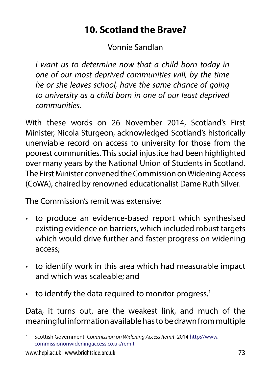# **10. Scotland the Brave?**

Vonnie Sandlan

*I want us to determine now that a child born today in one of our most deprived communities will, by the time he or she leaves school, have the same chance of going to university as a child born in one of our least deprived communities.*

With these words on 26 November 2014, Scotland's First Minister, Nicola Sturgeon, acknowledged Scotland's historically unenviable record on access to university for those from the poorest communities. This social injustice had been highlighted over many years by the National Union of Students in Scotland. The First Minister convened the Commission on Widening Access (CoWA), chaired by renowned educationalist Dame Ruth Silver.

The Commission's remit was extensive:

- to produce an evidence-based report which synthesised existing evidence on barriers, which included robust targets which would drive further and faster progress on widening access;
- to identify work in this area which had measurable impact and which was scaleable; and
- $\cdot$  to identify the data required to monitor progress.<sup>1</sup>

Data, it turns out, are the weakest link, and much of the meaningful information available has to be drawn from multiple

<sup>1</sup> Scottish Government, *Commission on Widening Access Remit*, 2014 [http://www.](http://www.commissiononwideningaccess.co.uk/remit) [commissiononwideningaccess.co.uk/remit](http://www.commissiononwideningaccess.co.uk/remit)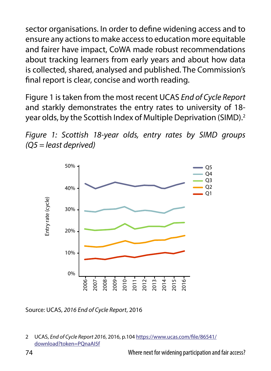sector organisations. In order to define widening access and to ensure any actions to make access to education more equitable and fairer have impact, CoWA made robust recommendations about tracking learners from early years and about how data is collected, shared, analysed and published. The Commission's final report is clear, concise and worth reading.

Figure 1 is taken from the most recent UCAS *End of Cycle Report* and starkly demonstrates the entry rates to university of 18 year olds, by the Scottish Index of Multiple Deprivation (SIMD).<sup>2</sup>





Source: UCAS, *2016 End of Cycle Report*, 2016

2 UCAS, *End of Cycle Report 2016*, 2016, p.104 [https://www.ucas.com/file/86541/](https://www.ucas.com/file/86541/download?token=PQnaAI5f) [download?token=PQnaAI5f](https://www.ucas.com/file/86541/download?token=PQnaAI5f)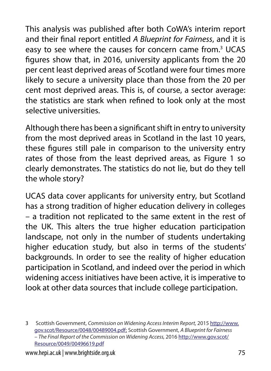This analysis was published after both CoWA's interim report and their final report entitled *A Blueprint for Fairness*, and it is easy to see where the causes for concern came from.<sup>3</sup> UCAS figures show that, in 2016, university applicants from the 20 per cent least deprived areas of Scotland were four times more likely to secure a university place than those from the 20 per cent most deprived areas. This is, of course, a sector average: the statistics are stark when refined to look only at the most selective universities.

Although there has been a significant shift in entry to university from the most deprived areas in Scotland in the last 10 years, these figures still pale in comparison to the university entry rates of those from the least deprived areas, as Figure 1 so clearly demonstrates. The statistics do not lie, but do they tell the whole story?

UCAS data cover applicants for university entry, but Scotland has a strong tradition of higher education delivery in colleges – a tradition not replicated to the same extent in the rest of the UK. This alters the true higher education participation landscape, not only in the number of students undertaking higher education study, but also in terms of the students' backgrounds. In order to see the reality of higher education participation in Scotland, and indeed over the period in which widening access initiatives have been active, it is imperative to look at other data sources that include college participation.

<sup>3</sup> Scottish Government, *Commission on Widening Access Interim Report,* 2015 [http://www.](http://www.gov.scot/Resource/0048/00489004.pdf) [gov.scot/Resource/0048/00489004.pdf;](http://www.gov.scot/Resource/0048/00489004.pdf) Scottish Government, *A Blueprint for Fairness – The Final Report of the Commission on Widening Access,* 2016 [http://www.gov.scot/](http://www.gov.scot/Resource/0049/00496619.pdf) [Resource/0049/00496619.pdf](http://www.gov.scot/Resource/0049/00496619.pdf)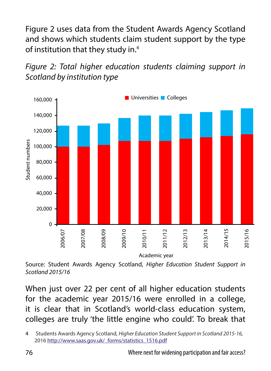Figure 2 uses data from the Student Awards Agency Scotland and shows which students claim student support by the type of institution that they study in.4





Source: Student Awards Agency Scotland, *Higher Education Student Support in Scotland 2015/16*

When just over 22 per cent of all higher education students for the academic year 2015/16 were enrolled in a college, it is clear that in Scotland's world-class education system, colleges are truly 'the little engine who could'. To break that

<sup>4</sup> Students Awards Agency Scotland, *Higher Education Student Support in Scotland 2015-16,*  2016 [http://www.saas.gov.uk/\\_forms/statistics\\_1516.pdf](http://www.saas.gov.uk/_forms/statistics_1516.pdf)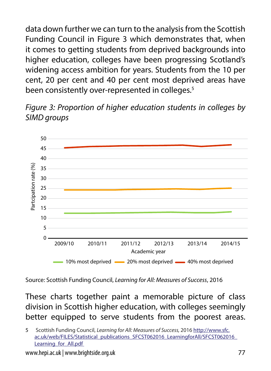data down further we can turn to the analysis from the Scottish Funding Council in Figure 3 which demonstrates that, when it comes to getting students from deprived backgrounds into higher education, colleges have been progressing Scotland's widening access ambition for years. Students from the 10 per cent, 20 per cent and 40 per cent most deprived areas have been consistently over-represented in colleges.<sup>5</sup>

*Figure 3: Proportion of higher education students in colleges by SIMD groups*



Source: Scottish Funding Council, *Learning for All: Measures of Success*, 2016

These charts together paint a memorable picture of class division in Scottish higher education, with colleges seemingly better equipped to serve students from the poorest areas.

5 Scottish Funding Council, *Learning for All: Measures of Success,* 2016 [http://www.sfc.](http://www.sfc.ac.uk/web/FILES/Statistical_publications_SFCST062016_LearningforAll/SFCST062016_Learning_for_All.pdf) [ac.uk/web/FILES/Statistical\\_publications\\_SFCST062016\\_LearningforAll/SFCST062016\\_](http://www.sfc.ac.uk/web/FILES/Statistical_publications_SFCST062016_LearningforAll/SFCST062016_Learning_for_All.pdf) [Learning\\_for\\_All.pdf](http://www.sfc.ac.uk/web/FILES/Statistical_publications_SFCST062016_LearningforAll/SFCST062016_Learning_for_All.pdf)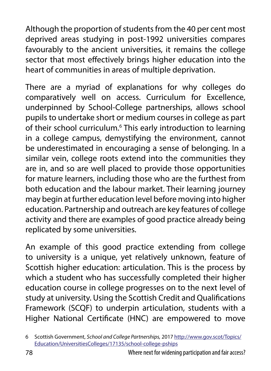Although the proportion of students from the 40 per cent most deprived areas studying in post-1992 universities compares favourably to the ancient universities, it remains the college sector that most effectively brings higher education into the heart of communities in areas of multiple deprivation.

There are a myriad of explanations for why colleges do comparatively well on access. Curriculum for Excellence, underpinned by School-College partnerships, allows school pupils to undertake short or medium courses in college as part of their school curriculum.<sup>6</sup> This early introduction to learning in a college campus, demystifying the environment, cannot be underestimated in encouraging a sense of belonging. In a similar vein, college roots extend into the communities they are in, and so are well placed to provide those opportunities for mature learners, including those who are the furthest from both education and the labour market. Their learning journey may begin at further education level before moving into higher education. Partnership and outreach are key features of college activity and there are examples of good practice already being replicated by some universities.

An example of this good practice extending from college to university is a unique, yet relatively unknown, feature of Scottish higher education: articulation. This is the process by which a student who has successfully completed their higher education course in college progresses on to the next level of study at university. Using the Scottish Credit and Qualifications Framework (SCQF) to underpin articulation, students with a Higher National Certificate (HNC) are empowered to move

<sup>6</sup> Scottish Government, *School and College Partnerships,* 2017 [http://www.gov.scot/Topics/](http://www.gov.scot/Topics/Education/UniversitiesColleges/17135/school-college-pships) [Education/UniversitiesColleges/17135/school-college-pships](http://www.gov.scot/Topics/Education/UniversitiesColleges/17135/school-college-pships)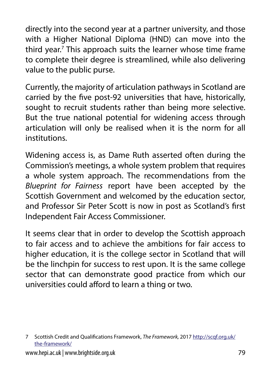directly into the second year at a partner university, and those with a Higher National Diploma (HND) can move into the third year.<sup>7</sup> This approach suits the learner whose time frame to complete their degree is streamlined, while also delivering value to the public purse.

Currently, the majority of articulation pathways in Scotland are carried by the five post-92 universities that have, historically, sought to recruit students rather than being more selective. But the true national potential for widening access through articulation will only be realised when it is the norm for all institutions.

Widening access is, as Dame Ruth asserted often during the Commission's meetings, a whole system problem that requires a whole system approach. The recommendations from the *Blueprint for Fairness* report have been accepted by the Scottish Government and welcomed by the education sector, and Professor Sir Peter Scott is now in post as Scotland's first Independent Fair Access Commissioner.

It seems clear that in order to develop the Scottish approach to fair access and to achieve the ambitions for fair access to higher education, it is the college sector in Scotland that will be the linchpin for success to rest upon. It is the same college sector that can demonstrate good practice from which our universities could afford to learn a thing or two.

<sup>7</sup> Scottish Credit and Qualifications Framework, *The Framework,* 2017 [http://scqf.org.uk/](http://scqf.org.uk/the-framework/) [the-framework/](http://scqf.org.uk/the-framework/)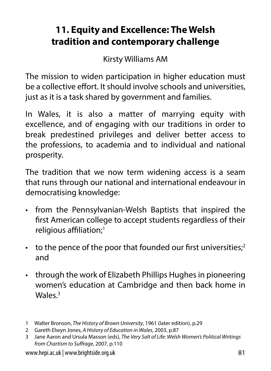# **11. Equity and Excellence: The Welsh tradition and contemporary challenge**

Kirsty Williams AM

The mission to widen participation in higher education must be a collective effort. It should involve schools and universities, just as it is a task shared by government and families.

In Wales, it is also a matter of marrying equity with excellence, and of engaging with our traditions in order to break predestined privileges and deliver better access to the professions, to academia and to individual and national prosperity.

The tradition that we now term widening access is a seam that runs through our national and international endeavour in democratising knowledge:

- from the Pennsylvanian-Welsh Baptists that inspired the first American college to accept students regardless of their religious affiliation;1
- $\cdot$  to the pence of the poor that founded our first universities;<sup>2</sup> and
- through the work of Elizabeth Phillips Hughes in pioneering women's education at Cambridge and then back home in Wales $3$

<sup>1</sup> Walter Bronson, *The History of Brown University*, 1961 (later edition), p.29

<sup>2</sup> Gareth Elwyn Jones, *A History of Education in Wales*, 2003, p.87

<sup>3</sup> Jane Aaron and Ursula Masson (eds), *The Very Salt of Life: Welsh Women's Political Writings from Chartism to Suffrage*, 2007, p.110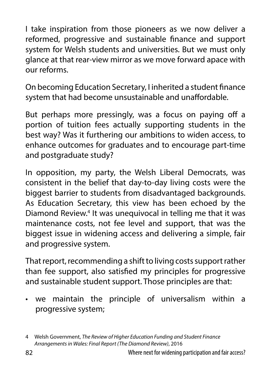I take inspiration from those pioneers as we now deliver a reformed, progressive and sustainable finance and support system for Welsh students and universities. But we must only glance at that rear-view mirror as we move forward apace with our reforms.

On becoming Education Secretary, I inherited a student finance system that had become unsustainable and unaffordable.

But perhaps more pressingly, was a focus on paying off a portion of tuition fees actually supporting students in the best way? Was it furthering our ambitions to widen access, to enhance outcomes for graduates and to encourage part-time and postgraduate study?

In opposition, my party, the Welsh Liberal Democrats, was consistent in the belief that day-to-day living costs were the biggest barrier to students from disadvantaged backgrounds. As Education Secretary, this view has been echoed by the Diamond Review.<sup>4</sup> It was unequivocal in telling me that it was maintenance costs, not fee level and support, that was the biggest issue in widening access and delivering a simple, fair and progressive system.

That report, recommending a shift to living costs support rather than fee support, also satisfied my principles for progressive and sustainable student support. Those principles are that:

• we maintain the principle of universalism within a progressive system;

<sup>4</sup> Welsh Government, *The Review of Higher Education Funding and Student Finance Arrangements in Wales: Final Report (The Diamond Review)*, 2016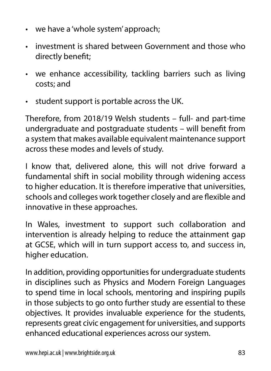- we have a 'whole system' approach;
- investment is shared between Government and those who directly benefit;
- we enhance accessibility, tackling barriers such as living costs; and
- student support is portable across the UK.

Therefore, from 2018/19 Welsh students – full- and part-time undergraduate and postgraduate students – will benefit from a system that makes available equivalent maintenance support across these modes and levels of study.

I know that, delivered alone, this will not drive forward a fundamental shift in social mobility through widening access to higher education. It is therefore imperative that universities, schools and colleges work together closely and are flexible and innovative in these approaches.

In Wales, investment to support such collaboration and intervention is already helping to reduce the attainment gap at GCSE, which will in turn support access to, and success in, higher education.

In addition, providing opportunities for undergraduate students in disciplines such as Physics and Modern Foreign Languages to spend time in local schools, mentoring and inspiring pupils in those subjects to go onto further study are essential to these objectives. It provides invaluable experience for the students, represents great civic engagement for universities, and supports enhanced educational experiences across our system.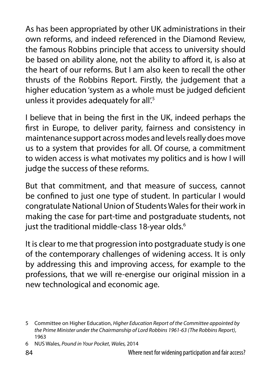As has been appropriated by other UK administrations in their own reforms, and indeed referenced in the Diamond Review, the famous Robbins principle that access to university should be based on ability alone, not the ability to afford it, is also at the heart of our reforms. But I am also keen to recall the other thrusts of the Robbins Report. Firstly, the judgement that a higher education 'system as a whole must be judged deficient unless it provides adequately for all'.<sup>5</sup>

I believe that in being the first in the UK, indeed perhaps the first in Europe, to deliver parity, fairness and consistency in maintenance support across modes and levels really does move us to a system that provides for all. Of course, a commitment to widen access is what motivates my politics and is how I will judge the success of these reforms.

But that commitment, and that measure of success, cannot be confined to just one type of student. In particular I would congratulate National Union of Students Wales for their work in making the case for part-time and postgraduate students, not just the traditional middle-class 18-year olds.<sup>6</sup>

It is clear to me that progression into postgraduate study is one of the contemporary challenges of widening access. It is only by addressing this and improving access, for example to the professions, that we will re-energise our original mission in a new technological and economic age.

<sup>5</sup> Committee on Higher Education, *Higher Education Report of the Committee appointed by the Prime Minister under the Chairmanship of Lord Robbins 1961-63 (The Robbins Report)*, 1963

<sup>6</sup> NUS Wales, *Pound in Your Pocket*, *Wales,* 2014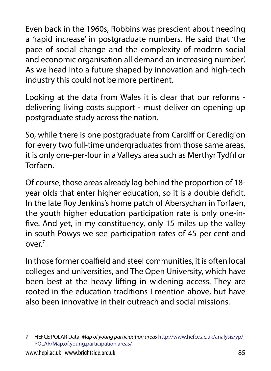Even back in the 1960s, Robbins was prescient about needing a *'*rapid increase' in postgraduate numbers. He said that 'the pace of social change and the complexity of modern social and economic organisation all demand an increasing number'. As we head into a future shaped by innovation and high-tech industry this could not be more pertinent.

Looking at the data from Wales it is clear that our reforms delivering living costs support - must deliver on opening up postgraduate study across the nation.

So, while there is one postgraduate from Cardiff or Ceredigion for every two full-time undergraduates from those same areas, it is only one-per-four in a Valleys area such as Merthyr Tydfil or **Torfaen** 

Of course, those areas already lag behind the proportion of 18 year olds that enter higher education, so it is a double deficit. In the late Roy Jenkins's home patch of Abersychan in Torfaen, the youth higher education participation rate is only one-infive. And yet, in my constituency, only 15 miles up the valley in south Powys we see participation rates of 45 per cent and  $OVPT$ 

In those former coalfield and steel communities, it is often local colleges and universities, and The Open University, which have been best at the heavy lifting in widening access. They are rooted in the education traditions I mention above, but have also been innovative in their outreach and social missions.

<sup>7</sup> HEFCE POLAR Data, *Map of young participation areas* [http://www.hefce.ac.uk/analysis/yp/](http://www.hefce.ac.uk/analysis/yp/POLAR/Map,of,young,participation,areas/) [POLAR/Map,of,young,participation,areas/](http://www.hefce.ac.uk/analysis/yp/POLAR/Map,of,young,participation,areas/)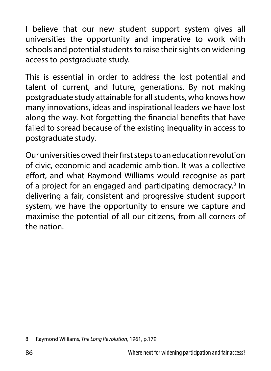I believe that our new student support system gives all universities the opportunity and imperative to work with schools and potential students to raise their sights on widening access to postgraduate study.

This is essential in order to address the lost potential and talent of current, and future, generations. By not making postgraduate study attainable for all students, who knows how many innovations, ideas and inspirational leaders we have lost along the way. Not forgetting the financial benefits that have failed to spread because of the existing inequality in access to postgraduate study.

Our universities owed their first steps to an education revolution of civic, economic and academic ambition. It was a collective effort, and what Raymond Williams would recognise as part of a project for an engaged and participating democracy.<sup>8</sup> In delivering a fair, consistent and progressive student support system, we have the opportunity to ensure we capture and maximise the potential of all our citizens, from all corners of the nation.

<sup>8</sup> Raymond Williams, *The Long Revolution*, 1961, p.179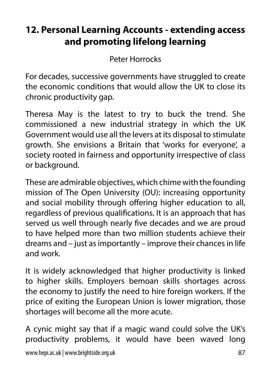# **12. Personal Learning Accounts - extending access and promoting lifelong learning**

Peter Horrocks

For decades, successive governments have struggled to create the economic conditions that would allow the UK to close its chronic productivity gap.

Theresa May is the latest to try to buck the trend. She commissioned a new industrial strategy in which the UK Government would use all the levers at its disposal to stimulate growth. She envisions a Britain that 'works for everyone', a society rooted in fairness and opportunity irrespective of class or background.

These are admirable objectives, which chime with the founding mission of The Open University (OU): increasing opportunity and social mobility through offering higher education to all, regardless of previous qualifications. It is an approach that has served us well through nearly five decades and we are proud to have helped more than two million students achieve their dreams and – just as importantly – improve their chances in life and work.

It is widely acknowledged that higher productivity is linked to higher skills. Employers bemoan skills shortages across the economy to justify the need to hire foreign workers. If the price of exiting the European Union is lower migration, those shortages will become all the more acute.

A cynic might say that if a magic wand could solve the UK's productivity problems, it would have been waved long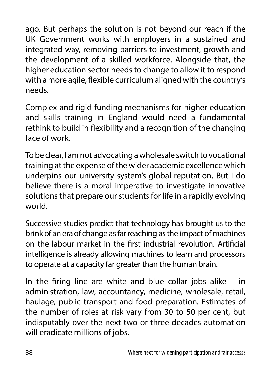ago. But perhaps the solution is not beyond our reach if the UK Government works with employers in a sustained and integrated way, removing barriers to investment, growth and the development of a skilled workforce. Alongside that, the higher education sector needs to change to allow it to respond with a more agile, flexible curriculum aligned with the country's needs.

Complex and rigid funding mechanisms for higher education and skills training in England would need a fundamental rethink to build in flexibility and a recognition of the changing face of work.

To be clear, I am not advocating a wholesale switch to vocational training at the expense of the wider academic excellence which underpins our university system's global reputation. But I do believe there is a moral imperative to investigate innovative solutions that prepare our students for life in a rapidly evolving world.

Successive studies predict that technology has brought us to the brink of an era of change as far reaching as the impact of machines on the labour market in the first industrial revolution. Artificial intelligence is already allowing machines to learn and processors to operate at a capacity far greater than the human brain.

In the firing line are white and blue collar jobs alike – in administration, law, accountancy, medicine, wholesale, retail, haulage, public transport and food preparation. Estimates of the number of roles at risk vary from 30 to 50 per cent, but indisputably over the next two or three decades automation will eradicate millions of jobs.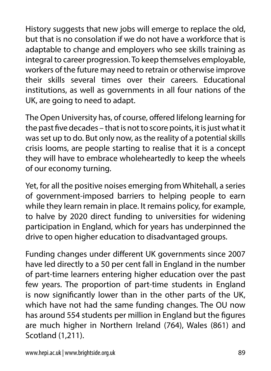History suggests that new jobs will emerge to replace the old, but that is no consolation if we do not have a workforce that is adaptable to change and employers who see skills training as integral to career progression. To keep themselves employable, workers of the future may need to retrain or otherwise improve their skills several times over their careers. Educational institutions, as well as governments in all four nations of the UK, are going to need to adapt.

The Open University has, of course, offered lifelong learning for the past five decades – that is not to score points, it is just what it was set up to do. But only now, as the reality of a potential skills crisis looms, are people starting to realise that it is a concept they will have to embrace wholeheartedly to keep the wheels of our economy turning.

Yet, for all the positive noises emerging from Whitehall, a series of government-imposed barriers to helping people to earn while they learn remain in place. It remains policy, for example, to halve by 2020 direct funding to universities for widening participation in England, which for years has underpinned the drive to open higher education to disadvantaged groups.

Funding changes under different UK governments since 2007 have led directly to a 50 per cent fall in England in the number of part-time learners entering higher education over the past few years. The proportion of part-time students in England is now significantly lower than in the other parts of the UK, which have not had the same funding changes. The OU now has around 554 students per million in England but the figures are much higher in Northern Ireland (764), Wales (861) and Scotland (1,211).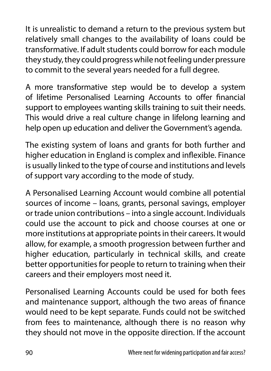It is unrealistic to demand a return to the previous system but relatively small changes to the availability of loans could be transformative. If adult students could borrow for each module they study, they could progress while not feeling under pressure to commit to the several years needed for a full degree.

A more transformative step would be to develop a system of lifetime Personalised Learning Accounts to offer financial support to employees wanting skills training to suit their needs. This would drive a real culture change in lifelong learning and help open up education and deliver the Government's agenda.

The existing system of loans and grants for both further and higher education in England is complex and inflexible. Finance is usually linked to the type of course and institutions and levels of support vary according to the mode of study.

A Personalised Learning Account would combine all potential sources of income – loans, grants, personal savings, employer or trade union contributions – into a single account. Individuals could use the account to pick and choose courses at one or more institutions at appropriate points in their careers. It would allow, for example, a smooth progression between further and higher education, particularly in technical skills, and create better opportunities for people to return to training when their careers and their employers most need it.

Personalised Learning Accounts could be used for both fees and maintenance support, although the two areas of finance would need to be kept separate. Funds could not be switched from fees to maintenance, although there is no reason why they should not move in the opposite direction. If the account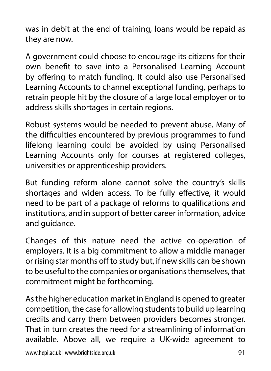was in debit at the end of training, loans would be repaid as they are now.

A government could choose to encourage its citizens for their own benefit to save into a Personalised Learning Account by offering to match funding. It could also use Personalised Learning Accounts to channel exceptional funding, perhaps to retrain people hit by the closure of a large local employer or to address skills shortages in certain regions.

Robust systems would be needed to prevent abuse. Many of the difficulties encountered by previous programmes to fund lifelong learning could be avoided by using Personalised Learning Accounts only for courses at registered colleges, universities or apprenticeship providers.

But funding reform alone cannot solve the country's skills shortages and widen access. To be fully effective, it would need to be part of a package of reforms to qualifications and institutions, and in support of better career information, advice and guidance.

Changes of this nature need the active co-operation of employers. It is a big commitment to allow a middle manager or rising star months off to study but, if new skills can be shown to be useful to the companies or organisations themselves, that commitment might be forthcoming.

As the higher education market in England is opened to greater competition, the case for allowing students to build up learning credits and carry them between providers becomes stronger. That in turn creates the need for a streamlining of information available. Above all, we require a UK-wide agreement to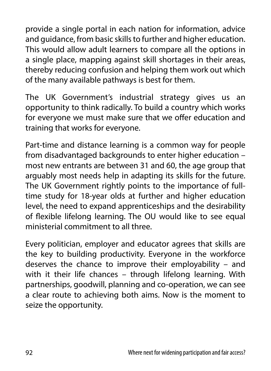provide a single portal in each nation for information, advice and guidance, from basic skills to further and higher education. This would allow adult learners to compare all the options in a single place, mapping against skill shortages in their areas, thereby reducing confusion and helping them work out which of the many available pathways is best for them.

The UK Government's industrial strategy gives us an opportunity to think radically. To build a country which works for everyone we must make sure that we offer education and training that works for everyone.

Part-time and distance learning is a common way for people from disadvantaged backgrounds to enter higher education – most new entrants are between 31 and 60, the age group that arguably most needs help in adapting its skills for the future. The UK Government rightly points to the importance of fulltime study for 18-year olds at further and higher education level, the need to expand apprenticeships and the desirability of flexible lifelong learning. The OU would like to see equal ministerial commitment to all three.

Every politician, employer and educator agrees that skills are the key to building productivity. Everyone in the workforce deserves the chance to improve their employability – and with it their life chances – through lifelong learning. With partnerships, goodwill, planning and co-operation, we can see a clear route to achieving both aims. Now is the moment to seize the opportunity.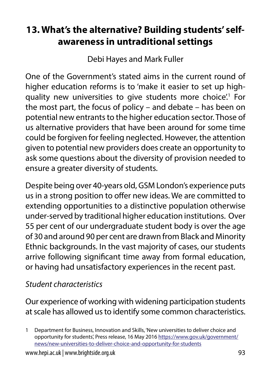# **13. What's the alternative? Building students' selfawareness in untraditional settings**

Debi Hayes and Mark Fuller

One of the Government's stated aims in the current round of higher education reforms is to 'make it easier to set up highquality new universities to give students more choice.<sup>1</sup> For the most part, the focus of policy – and debate – has been on potential new entrants to the higher education sector. Those of us alternative providers that have been around for some time could be forgiven for feeling neglected. However, the attention given to potential new providers does create an opportunity to ask some questions about the diversity of provision needed to ensure a greater diversity of students.

Despite being over 40-years old, GSM London's experience puts us in a strong position to offer new ideas. We are committed to extending opportunities to a distinctive population otherwise under-served by traditional higher education institutions. Over 55 per cent of our undergraduate student body is over the age of 30 and around 90 per cent are drawn from Black and Minority Ethnic backgrounds. In the vast majority of cases, our students arrive following significant time away from formal education, or having had unsatisfactory experiences in the recent past.

### *Student characteristics*

Our experience of working with widening participation students at scale has allowed us to identify some common characteristics.

<sup>1</sup> Department for Business, Innovation and Skills, 'New universities to deliver choice and opportunity for students', Press release, 16 May 2016 [https://www.gov.uk/government/](https://www.gov.uk/government/news/new-universities-to-deliver-choice-and-opportunity-for-students) [news/new-universities-to-deliver-choice-and-opportunity-for-students](https://www.gov.uk/government/news/new-universities-to-deliver-choice-and-opportunity-for-students)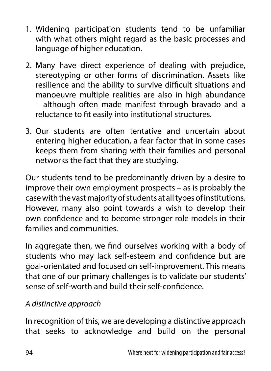- 1. Widening participation students tend to be unfamiliar with what others might regard as the basic processes and language of higher education.
- 2. Many have direct experience of dealing with prejudice, stereotyping or other forms of discrimination. Assets like resilience and the ability to survive difficult situations and manoeuvre multiple realities are also in high abundance – although often made manifest through bravado and a reluctance to fit easily into institutional structures.
- 3. Our students are often tentative and uncertain about entering higher education, a fear factor that in some cases keeps them from sharing with their families and personal networks the fact that they are studying.

Our students tend to be predominantly driven by a desire to improve their own employment prospects – as is probably the case with the vast majority of students at all types of institutions. However, many also point towards a wish to develop their own confidence and to become stronger role models in their families and communities.

In aggregate then, we find ourselves working with a body of students who may lack self-esteem and confidence but are goal-orientated and focused on self-improvement. This means that one of our primary challenges is to validate our students' sense of self-worth and build their self-confidence.

### *A distinctive approach*

In recognition of this, we are developing a distinctive approach that seeks to acknowledge and build on the personal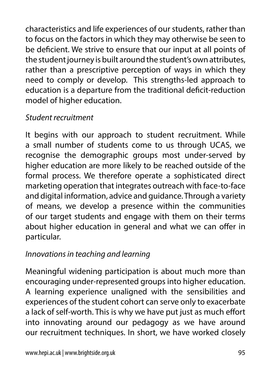characteristics and life experiences of our students, rather than to focus on the factors in which they may otherwise be seen to be deficient. We strive to ensure that our input at all points of the student journey is built around the student's own attributes, rather than a prescriptive perception of ways in which they need to comply or develop. This strengths-led approach to education is a departure from the traditional deficit-reduction model of higher education.

## *Student recruitment*

It begins with our approach to student recruitment. While a small number of students come to us through UCAS, we recognise the demographic groups most under-served by higher education are more likely to be reached outside of the formal process. We therefore operate a sophisticated direct marketing operation that integrates outreach with face-to-face and digital information, advice and guidance. Through a variety of means, we develop a presence within the communities of our target students and engage with them on their terms about higher education in general and what we can offer in particular.

## *Innovations in teaching and learning*

Meaningful widening participation is about much more than encouraging under-represented groups into higher education. A learning experience unaligned with the sensibilities and experiences of the student cohort can serve only to exacerbate a lack of self-worth. This is why we have put just as much effort into innovating around our pedagogy as we have around our recruitment techniques. In short, we have worked closely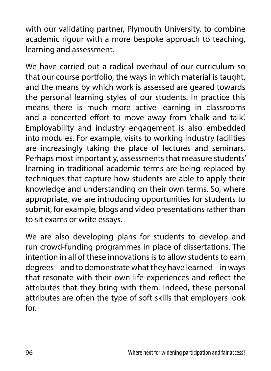with our validating partner, Plymouth University, to combine academic rigour with a more bespoke approach to teaching, learning and assessment.

We have carried out a radical overhaul of our curriculum so that our course portfolio, the ways in which material is taught, and the means by which work is assessed are geared towards the personal learning styles of our students. In practice this means there is much more active learning in classrooms and a concerted effort to move away from 'chalk and talk'. Employability and industry engagement is also embedded into modules. For example, visits to working industry facilities are increasingly taking the place of lectures and seminars. Perhaps most importantly, assessments that measure students' learning in traditional academic terms are being replaced by techniques that capture how students are able to apply their knowledge and understanding on their own terms. So, where appropriate, we are introducing opportunities for students to submit, for example, blogs and video presentations rather than to sit exams or write essays.

We are also developing plans for students to develop and run crowd-funding programmes in place of dissertations. The intention in all of these innovations is to allow students to earn degrees – and to demonstrate what they have learned – in ways that resonate with their own life-experiences and reflect the attributes that they bring with them. Indeed, these personal attributes are often the type of soft skills that employers look for.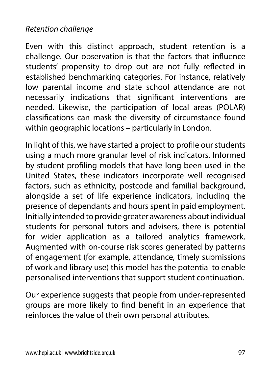### *Retention challenge*

Even with this distinct approach, student retention is a challenge. Our observation is that the factors that influence students' propensity to drop out are not fully reflected in established benchmarking categories. For instance, relatively low parental income and state school attendance are not necessarily indications that significant interventions are needed. Likewise, the participation of local areas (POLAR) classifications can mask the diversity of circumstance found within geographic locations – particularly in London.

In light of this, we have started a project to profile our students using a much more granular level of risk indicators. Informed by student profiling models that have long been used in the United States, these indicators incorporate well recognised factors, such as ethnicity, postcode and familial background, alongside a set of life experience indicators, including the presence of dependants and hours spent in paid employment. Initially intended to provide greater awareness about individual students for personal tutors and advisers, there is potential for wider application as a tailored analytics framework. Augmented with on-course risk scores generated by patterns of engagement (for example, attendance, timely submissions of work and library use) this model has the potential to enable personalised interventions that support student continuation.

Our experience suggests that people from under-represented groups are more likely to find benefit in an experience that reinforces the value of their own personal attributes.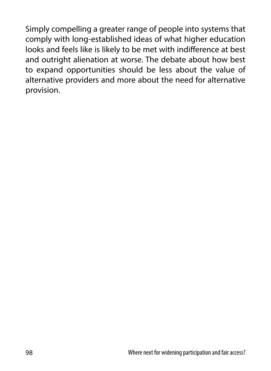Simply compelling a greater range of people into systems that comply with long-established ideas of what higher education looks and feels like is likely to be met with indifference at best and outright alienation at worse. The debate about how best to expand opportunities should be less about the value of alternative providers and more about the need for alternative provision.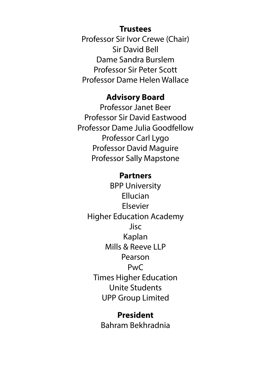#### **Trustees**

Professor Sir Ivor Crewe (Chair) Sir David Bell Dame Sandra Burslem Professor Sir Peter Scott Professor Dame Helen Wallace

#### **Advisory Board**

Professor Janet Beer Professor Sir David Eastwood Professor Dame Julia Goodfellow Professor Carl Lygo Professor David Maguire Professor Sally Mapstone

#### **Partners**

BPP University Ellucian Elsevier Higher Education Academy Jisc Kaplan Mills & Reeve LLP Pearson PwC Times Higher Education Unite Students UPP Group Limited

> **President** Bahram Bekhradnia